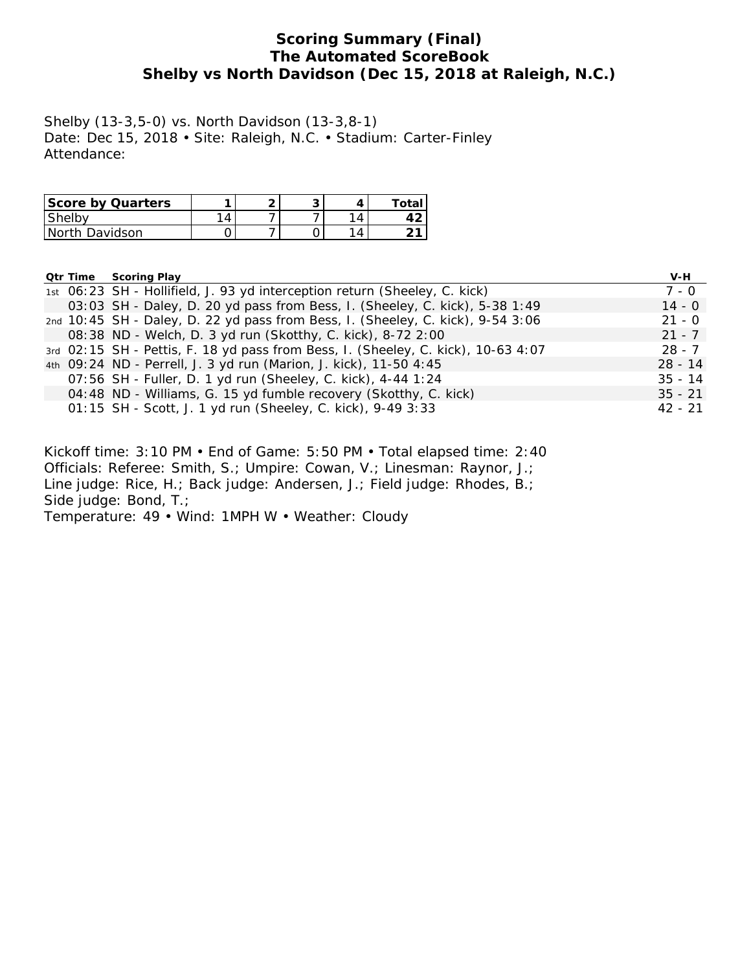#### **Scoring Summary (Final) The Automated ScoreBook Shelby vs North Davidson (Dec 15, 2018 at Raleigh, N.C.)**

Shelby (13-3,5-0) vs. North Davidson (13-3,8-1) Date: Dec 15, 2018 • Site: Raleigh, N.C. • Stadium: Carter-Finley Attendance:

| Score by Quarters | ⌒ |           | Total |
|-------------------|---|-----------|-------|
| Shelby            |   | $\Lambda$ |       |
| I North Davidson  |   | Λ         | - 1   |

|  | <b>Qtr Time Scoring Play</b>                                                      | V-H       |
|--|-----------------------------------------------------------------------------------|-----------|
|  | 1st 06:23 SH - Hollifield, J. 93 yd interception return (Sheeley, C. kick)        | 7 - 0     |
|  | 03:03 SH - Daley, D. 20 yd pass from Bess, I. (Sheeley, C. kick), 5-38 1:49       | $14 - 0$  |
|  | 2nd 10:45 SH - Daley, D. 22 yd pass from Bess, I. (Sheeley, C. kick), 9-54 3:06   | $21 - 0$  |
|  | 08:38 ND - Welch, D. 3 yd run (Skotthy, C. kick), 8-72 2:00                       | $21 - 7$  |
|  | 3rd 02:15 SH - Pettis, F. 18 yd pass from Bess, I. (Sheeley, C. kick), 10-63 4:07 | $28 - 7$  |
|  | 4th 09:24 ND - Perrell, J. 3 yd run (Marion, J. kick), 11-50 4:45                 | $28 - 14$ |
|  | 07:56 SH - Fuller, D. 1 yd run (Sheeley, C. kick), 4-44 1:24                      | $35 - 14$ |
|  | 04:48 ND - Williams, G. 15 yd fumble recovery (Skotthy, C. kick)                  | $35 - 21$ |
|  | 01:15 SH - Scott, J. 1 yd run (Sheeley, C. kick), 9-49 3:33                       | $42 - 21$ |

Kickoff time: 3:10 PM • End of Game: 5:50 PM • Total elapsed time: 2:40 Officials: Referee: Smith, S.; Umpire: Cowan, V.; Linesman: Raynor, J.; Line judge: Rice, H.; Back judge: Andersen, J.; Field judge: Rhodes, B.; Side judge: Bond, T.; Temperature: 49 • Wind: 1MPH W • Weather: Cloudy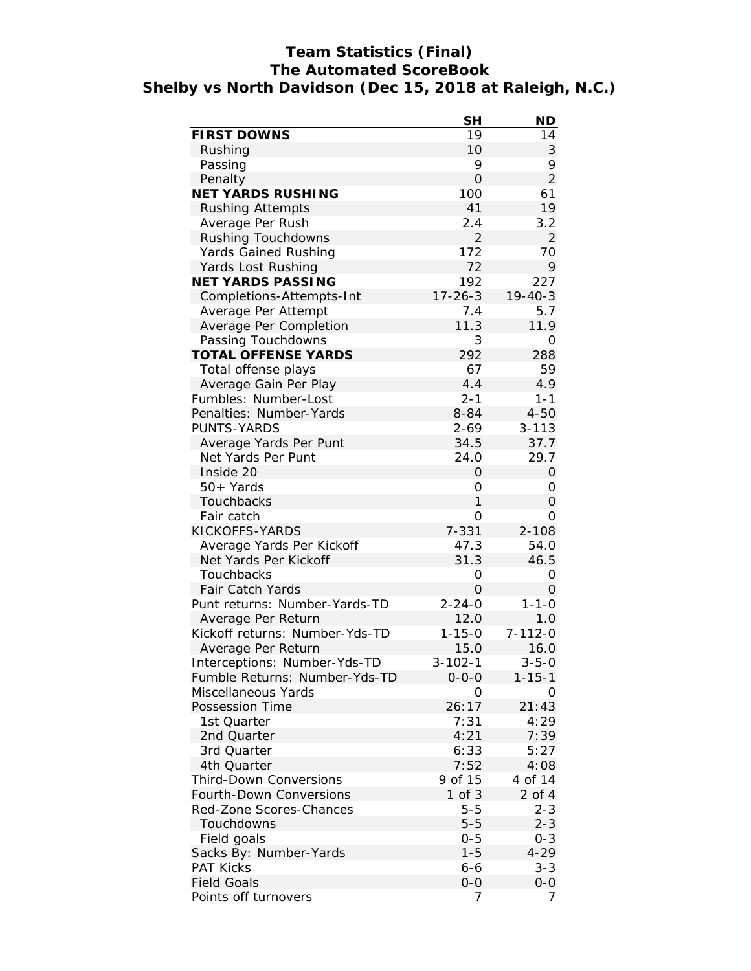# **Team Statistics (Final) The Automated ScoreBook Shelby vs North Davidson (Dec 15, 2018 at Raleigh, N.C.)**

|                                       | <b>SH</b>             | ND.             |
|---------------------------------------|-----------------------|-----------------|
| <b>FIRST DOWNS</b>                    | 19                    | 14              |
| Rushing                               | 10                    | 3               |
| Passing                               | 9                     | 9               |
| Penalty                               | $\overline{O}$        | $\overline{2}$  |
| <b>NET YARDS RUSHING</b>              | 100                   | 61              |
| <b>Rushing Attempts</b>               | 41                    | 19              |
| Average Per Rush                      | 2.4                   | 3.2             |
| Rushing Touchdowns                    | $\overline{2}$        | $\overline{2}$  |
| <b>Yards Gained Rushing</b>           | 172                   | 70              |
| Yards Lost Rushing                    | 72                    | 9               |
| <b>NET YARDS PASSING</b>              | 192                   | 227             |
| Completions-Attempts-Int              | $17 - 26 - 3$         | $19 - 40 - 3$   |
| Average Per Attempt                   | 7.4                   | 5.7             |
| Average Per Completion                | 11.3                  | 11.9            |
| Passing Touchdowns                    | 3                     | 0               |
| <b>TOTAL OFFENSE YARDS</b>            | 292                   | 288             |
| Total offense plays                   | 67                    | 59              |
| Average Gain Per Play                 | 4.4                   | 4.9             |
| Fumbles: Number-Lost                  | $2 - 1$               | $1 - 1$         |
| Penalties: Number-Yards               | $8 - 84$              | $4 - 50$        |
| <b>PUNTS-YARDS</b>                    | $2 - 69$              | $3 - 113$       |
| Average Yards Per Punt                | 34.5                  | 37.7            |
| Net Yards Per Punt                    | 24.0                  | 29.7            |
| Inside 20                             | 0                     | $\mathsf{O}$    |
| 50+ Yards                             | 0                     | 0               |
| Touchbacks                            | 1                     | 0               |
| Fair catch                            | Ο                     | Ο               |
| KICKOFFS-YARDS                        | $7 - 331$             | $2 - 108$       |
| Average Yards Per Kickoff             | 47.3                  | 54.0            |
| Net Yards Per Kickoff                 | 31.3                  | 46.5            |
| Touchbacks                            | 0                     | 0               |
| <b>Fair Catch Yards</b>               | 0                     | 0               |
| Punt returns: Number-Yards-TD         | $2 - 24 - 0$          | $1 - 1 - 0$     |
| Average Per Return                    | 12.0                  | 1.0             |
| Kickoff returns: Number-Yds-TD        | $1 - 15 - 0$          | $7 - 112 - 0$   |
| Average Per Return                    | 15.0                  | 16.0            |
| Interceptions: Number-Yds-TD          | $3 - 102 - 1$         | $3 - 5 - 0$     |
| Fumble Returns: Number-Yds-TD         | $0 - 0 - 0$           | $1 - 15 - 1$    |
| Miscellaneous Yards                   | 0                     | 0               |
| Possession Time                       | 26:17                 | 21:43           |
| 1st Quarter                           | 7:31                  | 4:29            |
| 2nd Quarter<br>3rd Quarter            | 4:21                  | 7:39<br>5:27    |
| 4th Quarter                           | 6:33                  |                 |
| <b>Third-Down Conversions</b>         | 7:52                  | 4:08<br>4 of 14 |
| Fourth-Down Conversions               | 9 of 15<br>$1$ of $3$ | 2 of 4          |
| Red-Zone Scores-Chances               | $5 - 5$               | $2 - 3$         |
| Touchdowns                            | $5 - 5$               | $2 - 3$         |
|                                       | $0 - 5$               | $0 - 3$         |
| Field goals<br>Sacks By: Number-Yards | $1 - 5$               | $4 - 29$        |
| <b>PAT Kicks</b>                      | $6 - 6$               | $3 - 3$         |
| <b>Field Goals</b>                    | $O-O$                 | $O-O$           |
| Points off turnovers                  | 7                     | 7               |
|                                       |                       |                 |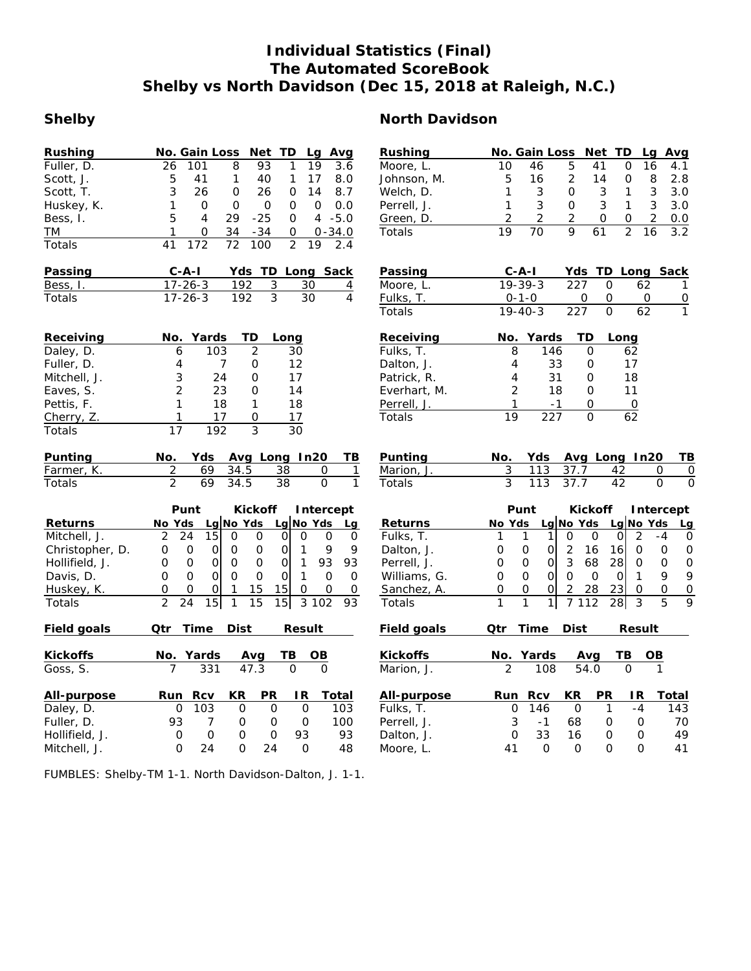# **Individual Statistics (Final) The Automated ScoreBook Shelby vs North Davidson (Dec 15, 2018 at Raleigh, N.C.)**

| <b>Rushing</b> |     | No. Gain Loss Net TD Lg Avg |    |        |               |    |            |
|----------------|-----|-----------------------------|----|--------|---------------|----|------------|
| Fuller, D.     | 26. | 101                         | 8  | 93     |               | 19 | 3.6        |
| Scott, J.      | 5.  | 41                          | 1  | 40     | $\mathbf{1}$  | 17 | 8.0        |
| Scott, T.      | 3   | 26                          | O  | 26     | 0             | 14 | 8.7        |
| Huskey, K.     |     | O                           | 0  | 0      | Ο             | O  | 0.0        |
| Bess, I.       | 5.  | 4                           | 29 | $-25$  | 0             |    | $4 - 5.0$  |
| TM             |     | 0                           | 34 | -34    | O             |    | $0 - 34.0$ |
| Totals         |     | 172                         |    | 72 100 | $\mathcal{P}$ | 19 | 2.4        |

| Passing       | C-A-I     |       |              | Yds TD Long Sack |   |
|---------------|-----------|-------|--------------|------------------|---|
| Bess, I.      | 17-26-3   | 192 3 |              | - 30             | 4 |
| <b>Totals</b> | $17-26-3$ | 192   | $\mathbf{3}$ | -30-             | 4 |

| Receiving    |               | No. Yards | - TD | Long |
|--------------|---------------|-----------|------|------|
| Daley, D.    |               | 103       | 2    | 30   |
| Fuller, D.   |               |           | റ    | 12   |
| Mitchell, J. | 3             | 24        | റ    | 17   |
| Eaves, S.    | $\mathcal{P}$ | 23        | Ω    | 14   |
| Pettis, F.   |               | 18        |      | 18   |
| Cherry, Z.   |               | 17        |      | 17   |
| Totals       |               |           |      |      |

| <b>Punting</b> |  |              | No. Yds Avg Long In20 TB |  |
|----------------|--|--------------|--------------------------|--|
| Farmer, K.     |  | 2 69 34.5 38 |                          |  |
| Totals         |  | 69 34.5 38   |                          |  |

|                 | Punt             |     | Kickoff |                 | Intercept |                        |    |
|-----------------|------------------|-----|---------|-----------------|-----------|------------------------|----|
| <b>Returns</b>  | No Yds           |     |         |                 |           | Lg No Yds Lg No Yds Lg |    |
| Mitchell, J.    | 24               | 15  | O       |                 |           |                        | 0  |
| Christopher, D. |                  |     |         |                 |           |                        | 9  |
| Hollifield, J.  | $\left( \right)$ |     |         |                 |           | 93                     | 93 |
| Davis, D.       |                  |     |         |                 |           |                        | O  |
| Huskey, K.      | $\left($         |     | 15      | 15              |           |                        | O  |
| Totals          | 2 24             | 151 | 15      | 15 <sup>1</sup> |           | 102                    | 93 |

| Field goals     | Qtr      | Time    | Dist     |           | <b>Result</b> |       | Field goals     | Qtr        | Time       | <b>Dist</b> |           | <b>Result</b> |          |
|-----------------|----------|---------|----------|-----------|---------------|-------|-----------------|------------|------------|-------------|-----------|---------------|----------|
| <b>Kickoffs</b> | No.      | Yards   |          | Ava       | ΓВ            | OВ    | <b>Kickoffs</b> | No.        | Yards      | Ava         |           | ΤВ            | ΟI       |
| Goss, S.        |          | 331     | 47.3     |           | 0             | 0     | Marion, J.      |            | 108        | 54.0        |           | $\Omega$      |          |
| All-purpose     |          | Run Rcv | KR       | <b>PR</b> | IR.           | Total | All-purpose     | <b>Run</b> | <b>Rcv</b> | KR          | <b>PR</b> | IR.           |          |
| Daley, D.       | $\Omega$ | 103     | 0        | 0         | $\Omega$      | 103   | Fulks, T.       | 0          | 146        | 0           |           | -4            |          |
| Fuller, D.      | 93       |         | O        | 0         | $\Omega$      | 100   | Perrell, J.     | 3          | $-1$       | 68          |           |               | $\Omega$ |
| Hollifield, J.  | 0        | O       | $\Omega$ | 0         | 93            | 93    | Dalton, J.      | 0          | 33         | 16          |           |               | O        |
| Mitchell, J.    | 0        | 24      | $\Omega$ | 24        | 0             | 48    | Moore, L.       | 41         | Ο          | Ο           |           |               | O        |

FUMBLES: Shelby-TM 1-1. North Davidson-Dalton, J. 1-1.

| <b>Rushing</b>     |                | No. Gain Loss  |                       | <b>Net</b>     | TD             | Lq             | Avg                    |
|--------------------|----------------|----------------|-----------------------|----------------|----------------|----------------|------------------------|
| Moore, L.          | 10             | 46             | 5                     | 41             | 0              | 16             | 4.1                    |
| Johnson, M.        | 5              | 16             | 2                     | 14             | 0              | 8              | 2.8                    |
| Welch, D.          | 1              | 3              | 0                     | 3              | 1              | 3              | 3.0                    |
| Perrell, J.        | 1              | 3              | 0                     | 3              | 1              | 3              | 3.0                    |
| Green, D.          | $\overline{2}$ | $\overline{2}$ | $\overline{2}$        | 0              | 0              | $\overline{2}$ | 0.0                    |
| Totals             | 19             | 70             | 9                     | 61             | $\overline{2}$ | 16             | 3.2                    |
|                    |                |                |                       |                |                |                |                        |
|                    |                |                |                       |                |                |                |                        |
| Passing            |                | $C - A - I$    |                       | Yds            |                |                | TD Long Sack           |
| Moore, L.          |                | $19 - 39 - 3$  | 227                   | 0              |                | 62             | 1                      |
| Fulks, T.          |                | $0 - 1 - 0$    |                       | 0<br>0         |                | 0              | 0                      |
| Totals             |                | $19 - 40 - 3$  | 227                   | 0              |                | 62             | 1                      |
| Receiving          |                | No. Yards      |                       | TD             | Long           |                |                        |
| Fulks, T.          | 8              |                | 146                   | 0              | 62             |                |                        |
| Dalton, J.         | 4              |                | 33                    | 0              | 17             |                |                        |
| Patrick, R.        | 4              |                | 31                    | 0              | 18             |                |                        |
|                    | $\overline{2}$ |                |                       |                |                |                |                        |
| Everhart, M.       |                |                | 18                    | 0              | 11             |                |                        |
| Perrell, J.        | 1              |                | -1                    | O              |                | 0              |                        |
| Totals             | 19             |                | 227                   | $\Omega$       | 62             |                |                        |
|                    |                |                |                       |                |                |                |                        |
| Punting            | No.            | Yds            |                       | Avg Long In20  |                |                | ТВ                     |
| Marion, J.         | 3              | 113            | 37.7                  |                | 42             | 0              | 0                      |
| Totals             |                |                |                       |                |                |                |                        |
|                    | 3              | 113            |                       |                |                | 0              | $\Omega$               |
|                    |                |                | 37.7                  |                | 42             |                |                        |
|                    |                | Punt           |                       |                |                |                | <b>Intercept</b>       |
|                    | No Yds         |                |                       | <b>Kickoff</b> |                |                |                        |
| Returns            | 1              | 1              | $Lg$ No Yds<br>0<br>1 | 0              | O              | Lg No Yds<br>2 | <b>Lg</b><br>$-4$<br>0 |
| Fulks, T.          |                |                |                       |                |                |                |                        |
| Dalton, J.         | 0              | 0              | 2<br>0                | 16             | 16             | 0              | 0<br>0                 |
| Perrell, J.        | 0              | O              | 3<br>O                | 68             | 28             | $\Omega$       | Ο<br>0                 |
| Williams, G.       | 0              | 0              | 0<br>0                | 0              | 0              | 1              | 9<br>9                 |
| Sanchez, A.        | 0              | 0              | O<br>2                | 28             | 23             | 0              | 0<br>0                 |
| Totals             | 1              | 1              | 11<br>7               | 112            | 28             | 3              | 5<br>9                 |
| <b>Field goals</b> | Qtr            | Time           | <b>Dist</b>           |                |                | <b>Result</b>  |                        |
|                    |                |                |                       |                |                |                |                        |
| <b>Kickoffs</b>    |                | No. Yards      |                       | Avg            | ΤВ             | OВ             |                        |
| Marion, J.         | 2              | 108            |                       | 54.0           | O              | 1              |                        |
| All-purpose        | Run            | <b>Rcv</b>     | КR                    | PR             |                | IR.            | Total                  |
| Fulks, T.          | 0              | 146            | 0                     | 1              |                | $-4$           | 143                    |
| Perrell, J.        | 3              | $-1$           | 68                    | 0              |                | 0              | 70                     |
| Dalton, J.         | $\Omega$       | 33             | 16                    | O              |                | 0              | 49                     |
| Moore, L.          | 41             | 0              | 0                     | 0              |                | 0              | 41                     |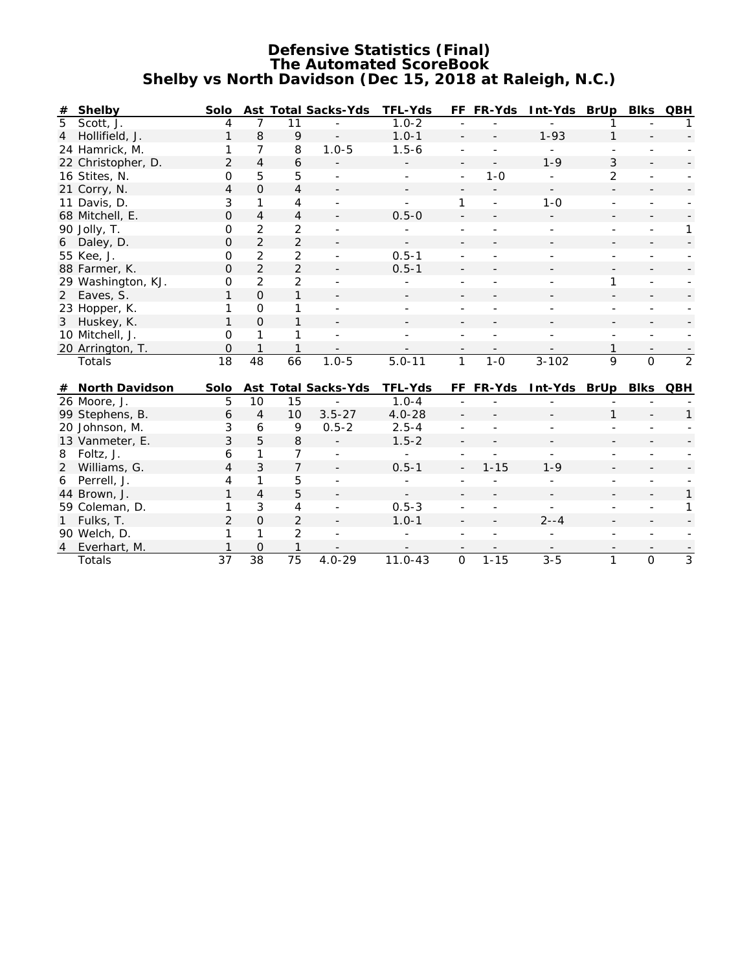#### **Defensive Statistics (Final) The Automated ScoreBook Shelby vs North Davidson (Dec 15, 2018 at Raleigh, N.C.)**

|                | # Shelby              | Solo            |                 |                 | Ast Total Sacks-Yds        | <b>TFL-Yds</b>           |                          | FF FR-Yds           | Int-Yds BrUp Blks QBH |                |                          |                |
|----------------|-----------------------|-----------------|-----------------|-----------------|----------------------------|--------------------------|--------------------------|---------------------|-----------------------|----------------|--------------------------|----------------|
| $\overline{5}$ | Scott, J.             | 4               | 7               | 11              |                            | $1.0 - 2$                |                          |                     |                       |                |                          |                |
|                | 4 Hollifield, J.      | $\mathbf{1}$    | 8               | 9               |                            | $1.0 - 1$                | $\overline{a}$           |                     | $1 - 93$              | $\mathbf{1}$   |                          |                |
|                | 24 Hamrick, M.        | 1               | $\overline{7}$  | 8               | $1.0 - 5$                  | $1.5 - 6$                | $\overline{a}$           |                     |                       |                |                          |                |
|                | 22 Christopher, D.    | $\overline{2}$  | $\overline{4}$  | 6               |                            |                          |                          |                     | $1 - 9$               | 3              |                          |                |
|                | 16 Stites, N.         | $\Omega$        | 5               | 5               |                            | $\overline{\phantom{a}}$ | $\overline{\phantom{a}}$ | $1 - 0$             |                       | $\overline{2}$ |                          |                |
|                | 21 Corry, N.          | $\overline{4}$  | $\Omega$        | $\overline{4}$  |                            |                          | $\overline{\phantom{a}}$ |                     |                       |                |                          |                |
|                | 11 Davis, D.          | 3               | $\mathbf{1}$    | 4               |                            | $\overline{\phantom{a}}$ | 1                        | $\bar{\phantom{a}}$ | $1 - 0$               | $\overline{a}$ |                          |                |
|                | 68 Mitchell, E.       | $\Omega$        | $\overline{4}$  | $\overline{4}$  |                            | $0.5 - 0$                |                          |                     |                       |                |                          |                |
|                | 90 Jolly, T.          | 0               | $\overline{2}$  | $\overline{a}$  |                            |                          |                          |                     |                       |                |                          | $\mathbf{1}$   |
| 6              | Daley, D.             | $\Omega$        | $\overline{2}$  | $\overline{2}$  |                            |                          |                          |                     |                       |                |                          |                |
|                | 55 Kee, J.            | 0               | $\overline{2}$  | $\overline{2}$  |                            | $0.5 - 1$                |                          |                     |                       |                |                          |                |
|                | 88 Farmer, K.         | $\mathbf 0$     | $\overline{2}$  | $\overline{2}$  |                            | $0.5 - 1$                |                          |                     |                       |                |                          |                |
|                | 29 Washington, KJ.    | $\mathbf 0$     | $\overline{2}$  | $\overline{2}$  |                            |                          |                          |                     |                       | 1              |                          |                |
| $2^{\circ}$    | Eaves, S.             | 1               | $\Omega$        | 1               |                            |                          |                          |                     |                       |                |                          |                |
|                | 23 Hopper, K.         | 1               | $\Omega$        | 1               |                            |                          |                          |                     |                       |                |                          |                |
| 3              | Huskey, K.            | 1               | $\Omega$        | 1               |                            |                          |                          |                     |                       |                |                          |                |
|                | 10 Mitchell, J.       | 0               | $\mathbf{1}$    | 1               |                            |                          |                          |                     |                       |                |                          |                |
|                | 20 Arrington, T.      | 0               |                 | 1               | $\overline{\phantom{a}}$   |                          |                          |                     |                       | 1              | $\overline{\phantom{a}}$ |                |
|                | Totals                | $\overline{18}$ | 48              | 66              | $1.0 - 5$                  | $5.0 - 11$               | $\mathbf{1}$             | $1 - 0$             | $3 - 102$             | 9              | $\mathbf{O}$             | $\overline{2}$ |
| #              | <b>North Davidson</b> | Solo            |                 |                 | <b>Ast Total Sacks-Yds</b> | <b>TFL-Yds</b>           |                          | FF FR-Yds           | Int-Yds BrUp Blks QBH |                |                          |                |
|                | 26 Moore, J.          | 5               | 10              | 15              |                            | $1.0 - 4$                |                          |                     |                       |                |                          |                |
|                | 99 Stephens, B.       | 6               | $\overline{4}$  | 10              | $3.5 - 27$                 | $4.0 - 28$               |                          |                     |                       | $\mathbf{1}$   |                          | 1              |
|                | 20 Johnson, M.        | 3               | 6               | 9               | $0.5 - 2$                  | $2.5 - 4$                |                          |                     |                       |                |                          |                |
|                | 13 Vanmeter, E.       | 3               | 5               | 8               |                            | $1.5 - 2$                |                          |                     |                       |                |                          |                |
|                | 8 Foltz, J.           | 6               | $\mathbf{1}$    | $\overline{7}$  |                            |                          |                          |                     | $\blacksquare$        |                |                          |                |
|                | 2 Williams, G.        | 4               | 3               | $\overline{7}$  |                            | $0.5 - 1$                |                          | $1 - 15$            | $1 - 9$               |                |                          |                |
| 6              | Perrell, J.           | 4               | 1               | 5               |                            |                          |                          |                     |                       |                |                          |                |
|                | 44 Brown, J.          | $\mathbf{1}$    | $\overline{4}$  | 5               |                            |                          |                          |                     |                       |                |                          | 1              |
|                | 59 Coleman, D.        | 1               | 3               | 4               |                            | $0.5 - 3$                |                          |                     |                       |                |                          |                |
| $\mathbf{1}$   | Fulks, T.             | $\overline{2}$  | $\overline{0}$  | $\overline{2}$  |                            | $1.0 - 1$                |                          |                     | $2 - -4$              |                |                          |                |
|                | 90 Welch, D.          | 1               | $\mathbf{1}$    | $\overline{a}$  |                            |                          |                          |                     |                       |                |                          |                |
| 4              | Everhart, M.          |                 | $\Omega$        | 1               |                            |                          |                          |                     |                       |                |                          |                |
|                | Totals                | $\overline{37}$ | $\overline{38}$ | $\overline{75}$ | $4.0 - 29$                 | $11.0 - 43$              | $\overline{O}$           | $1 - 15$            | $3 - 5$               | $\mathbf{1}$   | $\overline{0}$           | $\overline{3}$ |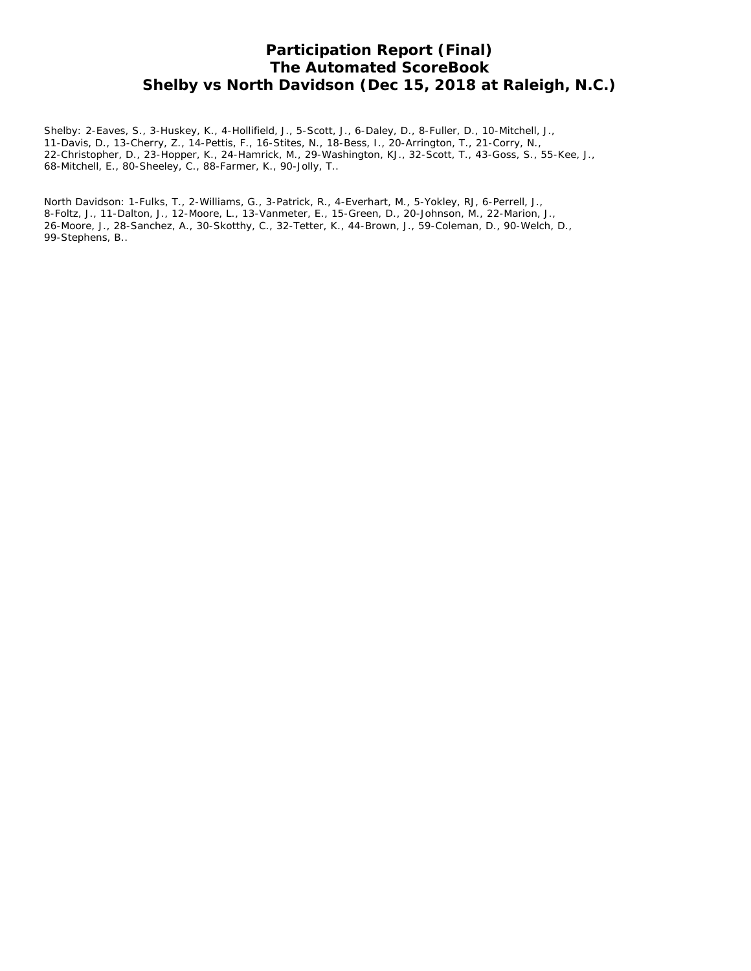## **Participation Report (Final) The Automated ScoreBook Shelby vs North Davidson (Dec 15, 2018 at Raleigh, N.C.)**

Shelby: 2-Eaves, S., 3-Huskey, K., 4-Hollifield, J., 5-Scott, J., 6-Daley, D., 8-Fuller, D., 10-Mitchell, J., 11-Davis, D., 13-Cherry, Z., 14-Pettis, F., 16-Stites, N., 18-Bess, I., 20-Arrington, T., 21-Corry, N., 22-Christopher, D., 23-Hopper, K., 24-Hamrick, M., 29-Washington, KJ., 32-Scott, T., 43-Goss, S., 55-Kee, J., 68-Mitchell, E., 80-Sheeley, C., 88-Farmer, K., 90-Jolly, T..

North Davidson: 1-Fulks, T., 2-Williams, G., 3-Patrick, R., 4-Everhart, M., 5-Yokley, RJ, 6-Perrell, J., 8-Foltz, J., 11-Dalton, J., 12-Moore, L., 13-Vanmeter, E., 15-Green, D., 20-Johnson, M., 22-Marion, J., 26-Moore, J., 28-Sanchez, A., 30-Skotthy, C., 32-Tetter, K., 44-Brown, J., 59-Coleman, D., 90-Welch, D., 99-Stephens, B..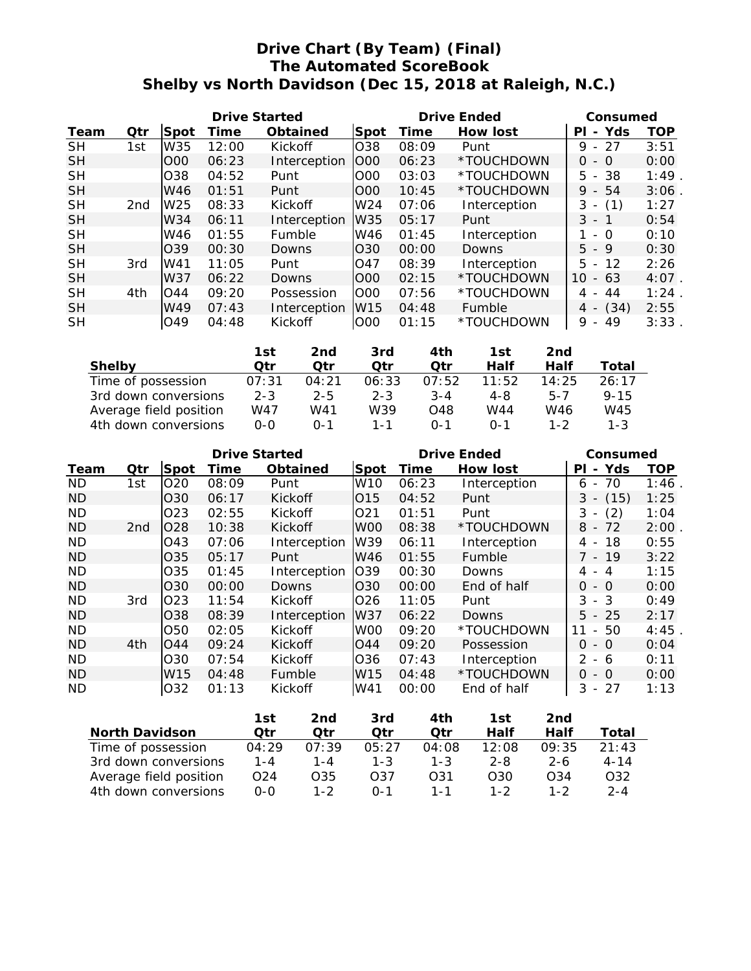# **Drive Chart (By Team) (Final) The Automated ScoreBook Shelby vs North Davidson (Dec 15, 2018 at Raleigh, N.C.)**

|           |                 |                 | <b>Drive Started</b> |                 |                 | <b>Drive Ended</b> | Consumed        |                                      |            |
|-----------|-----------------|-----------------|----------------------|-----------------|-----------------|--------------------|-----------------|--------------------------------------|------------|
| Team      | Qtr             | Spot            | Time                 | <b>Obtained</b> | Spot            | Time               | <b>How lost</b> | - Yds<br>ΡI                          | <b>TOP</b> |
| <b>SH</b> | 1st             | W35             | 12:00                | Kickoff         | O38             | 08:09              | Punt            | $-27$<br>9                           | 3:51       |
| <b>SH</b> |                 | <b>OOO</b>      | 06:23                | Interception    | <b>OOO</b>      | 06:23              | *TOUCHDOWN      | 0<br>- 0                             | 0:00       |
| <b>SH</b> |                 | O38             | 04:52                | Punt            | <b>OOO</b>      | 03:03              | *TOUCHDOWN      | - 38<br>5.                           | 1:49       |
| <b>SH</b> |                 | W46             | 01:51                | Punt            | <b>OOO</b>      | 10:45              | *TOUCHDOWN      | 54<br>$9 -$                          | 3:06       |
| <b>SH</b> | 2 <sub>nd</sub> | W <sub>25</sub> | 08:33                | Kickoff         | W <sub>24</sub> | 07:06              | Interception    | (1)<br>3<br>$\overline{\phantom{a}}$ | 1:27       |
| <b>SH</b> |                 | W34             | 06:11                | Interception    | W35             | 05:17              | Punt            | $3 - 1$                              | 0:54       |
| <b>SH</b> |                 | W46             | 01:55                | Fumble          | W46             | 01:45              | Interception    | - 0                                  | 0:10       |
| <b>SH</b> |                 | IO39            | 00:30                | Downs           | IO30            | 00:00              | <b>Downs</b>    | $5 - 9$                              | 0:30       |
| <b>SH</b> | 3rd             | W41             | 11:05                | Punt            | O47             | 08:39              | Interception    | 5.<br>-12<br>$\sim$                  | 2:26       |
| <b>SH</b> |                 | W37             | 06:22                | Downs           | <b>OOO</b>      | 02:15              | *TOUCHDOWN      | 10<br>- 63                           | $4:07$ .   |
| <b>SH</b> | 4th             | $\bigcirc$ 44   | 09:20                | Possession      | <b>OOO</b>      | 07:56              | *TOUCHDOWN      | 44<br>4 -                            | 1:24       |
| <b>SH</b> |                 | W49             | 07:43                | Interception    | W15             | 04:48              | Fumble          | (34)<br>4 -                          | 2:55       |
| <b>SH</b> |                 | O <sub>49</sub> | 04:48                | Kickoff         | 000             | 01:15              | *TOUCHDOWN      | 9<br>49<br>$\overline{\phantom{a}}$  | 3:33       |

|                        | 1st     | 2nd     | 3rd     | 4th     | 1st     | 2nd     |          |
|------------------------|---------|---------|---------|---------|---------|---------|----------|
| <b>Shelby</b>          | Otr     | Otr     | Otr     | Otr     | Half    | Half    | Total    |
| Time of possession     | 07:31   | 04:21   | 06:33   | 07:52   | 11:52   | 14:25   | 26:17    |
| 3rd down conversions   | $2 - 3$ | $2 - 5$ | $2 - 3$ | $3 - 4$ | 4-8     | $5 - 7$ | $9 - 15$ |
| Average field position | W47     | W41     | W39     | O48     | W44     | W46     | W45      |
| 4th down conversions   | $O-O$   | በ-1     | $1 - 1$ | $0 - 1$ | $0 - 1$ | 1-2     | $1 - 3$  |

|           |                 |                 | <b>Drive Started</b> |                 |                 | <b>Drive Ended</b> | Consumed        |                                      |            |
|-----------|-----------------|-----------------|----------------------|-----------------|-----------------|--------------------|-----------------|--------------------------------------|------------|
| Team      | Qtr             | <b>Spot</b>     | Time                 | <b>Obtained</b> | Spot            | Time               | <b>How lost</b> | Yds<br>ΡI<br>$\blacksquare$          | <b>TOP</b> |
| ND.       | 1st             | O <sub>20</sub> | 08:09                | Punt            | W <sub>10</sub> | 06:23              | Interception    | 70<br>6<br>$\overline{a}$            | 1:46       |
| <b>ND</b> |                 | O <sub>30</sub> | 06:17                | Kickoff         | 015             | 04:52              | Punt            | 3<br>(15)<br>$\sim$                  | 1:25       |
| <b>ND</b> |                 | O <sub>23</sub> | 02:55                | Kickoff         | 021             | 01:51              | Punt            | (2)<br>3<br>$\overline{\phantom{a}}$ | 1:04       |
| <b>ND</b> | 2 <sub>nd</sub> | O <sub>28</sub> | 10:38                | Kickoff         | W00             | 08:38              | *TOUCHDOWN      | $8 - 72$                             | 2:00       |
| <b>ND</b> |                 | O43             | 07:06                | Interception    | W39             | 06:11              | Interception    | 18<br>4<br>$\overline{\phantom{a}}$  | 0:55       |
| <b>ND</b> |                 | O35             | 05:17                | Punt            | W46             | 01:55              | Fumble          | 7 - 19                               | 3:22       |
| <b>ND</b> |                 | O35             | 01:45                | Interception    | O39             | 00:30              | Downs           | 4 - 4                                | 1:15       |
| <b>ND</b> |                 | 030             | 00:00                | Downs           | O30             | 00:00              | End of half     | 0<br>- 0                             | 0:00       |
| <b>ND</b> | 3rd             | O <sub>23</sub> | 11:54                | Kickoff         | O26             | 11:05              | Punt            | 3<br>- 3                             | 0:49       |
| <b>ND</b> |                 | O <sub>38</sub> | 08:39                | Interception    | W37             | 06:22              | Downs           | $5 - 25$                             | 2:17       |
| <b>ND</b> |                 | O <sub>50</sub> | 02:05                | Kickoff         | W <sub>00</sub> | 09:20              | *TOUCHDOWN      | 11<br>50<br>$\overline{\phantom{a}}$ | 4:45       |
| <b>ND</b> | 4th             | O44             | 09:24                | Kickoff         | O44             | 09:20              | Possession      | O<br>- 0                             | 0:04       |
| <b>ND</b> |                 | O <sub>30</sub> | 07:54                | Kickoff         | O <sub>36</sub> | 07:43              | Interception    | $2 - 6$                              | 0:11       |
| <b>ND</b> |                 | W <sub>15</sub> | 04:48                | Fumble          | W15             | 04:48              | *TOUCHDOWN      | $\Omega$<br>- 0                      | 0:00       |
| <b>ND</b> |                 | O32             | 01:13                | Kickoff         | W41             | 00:00              | End of half     | 3<br>$-27$                           | 1:13       |

|                        | 1st     | 2nd     | 3rd     | 4th     | 1st             | 2nd     |          |
|------------------------|---------|---------|---------|---------|-----------------|---------|----------|
| <b>North Davidson</b>  | Otr     | Otr     | Otr     | Otr     | Half            | Half    | Total    |
| Time of possession     | 04:29   | 07:39   | 05:27   | 04:08   | 12:08           | 09:35   | 21:43    |
| 3rd down conversions   | $1 - 4$ | 1-4     | $1 - 3$ | $1 - 3$ | $2 - 8$         | $2 - 6$ | $4 - 14$ |
| Average field position | O24     | O35     | O37     | O31     | O <sub>30</sub> | O34     | O32      |
| 4th down conversions   | 0-0     | $1 - 2$ | $0 - 1$ | $1 - 1$ | $1 - 2$         | $1 - 2$ | $2 - 4$  |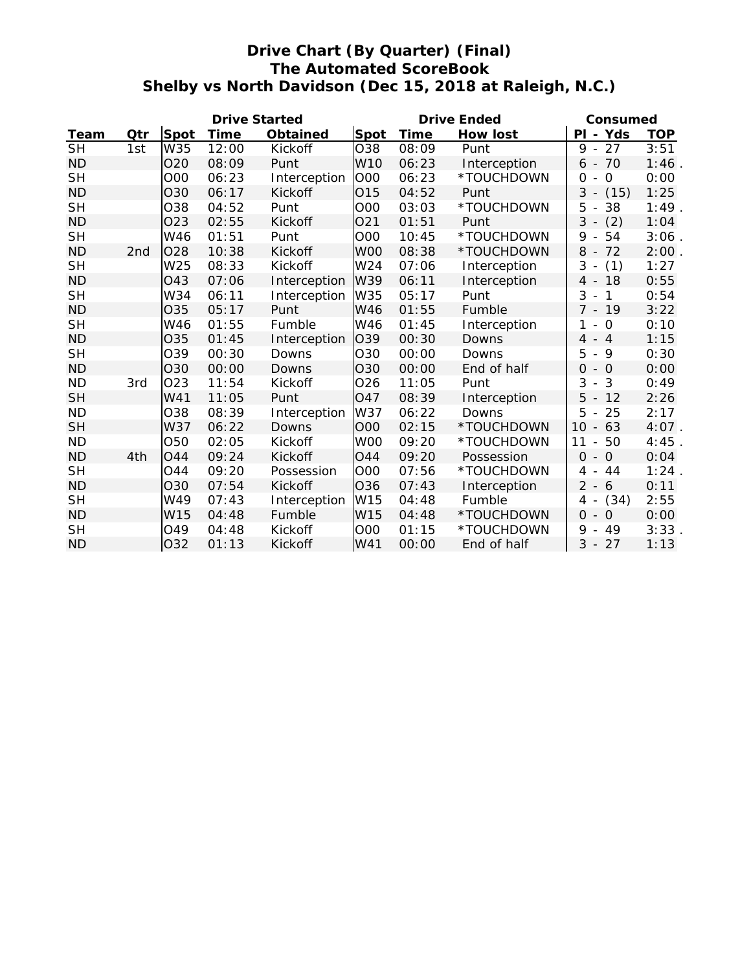# **Drive Chart (By Quarter) (Final) The Automated ScoreBook Shelby vs North Davidson (Dec 15, 2018 at Raleigh, N.C.)**

|           |                 |                 | <b>Drive Started</b> |                 |                 | <b>Drive Ended</b> | Consumed        |                                               |            |
|-----------|-----------------|-----------------|----------------------|-----------------|-----------------|--------------------|-----------------|-----------------------------------------------|------------|
| Team      | Qtr             | <b>Spot</b>     | <b>Time</b>          | <b>Obtained</b> | <b>Spot</b>     | <b>Time</b>        | <b>How lost</b> | PI - Yds                                      | <b>TOP</b> |
| <b>SH</b> | 1st             | W35             | 12:00                | <b>Kickoff</b>  | O38             | 08:09              | Punt            | 27<br>$9 -$                                   | 3:51       |
| <b>ND</b> |                 | O <sub>20</sub> | 08:09                | Punt            | W10             | 06:23              | Interception    | 70<br>$6 -$                                   | 1:46       |
| <b>SH</b> |                 | 000             | 06:23                | Interception    | <b>OOO</b>      | 06:23              | *TOUCHDOWN      | 0<br>0                                        | 0:00       |
| <b>ND</b> |                 | O30             | 06:17                | <b>Kickoff</b>  | O15             | 04:52              | Punt            | $3 -$<br>(15)                                 | 1:25       |
| <b>SH</b> |                 | O38             | 04:52                | Punt            | <b>OOO</b>      | 03:03              | *TOUCHDOWN      | 5<br>38<br>$\overline{\phantom{a}}$           | 1:49       |
| <b>ND</b> |                 | O <sub>23</sub> | 02:55                | <b>Kickoff</b>  | O21             | 01:51              | Punt            | $3 - (2)$                                     | 1:04       |
| <b>SH</b> |                 | W46             | 01:51                | Punt            | O00             | 10:45              | *TOUCHDOWN      | 9<br>54<br>$\overline{\phantom{a}}$           | 3:06       |
| <b>ND</b> | 2 <sub>nd</sub> | O28             | 10:38                | Kickoff         | W <sub>00</sub> | 08:38              | *TOUCHDOWN      | $8 -$<br>72                                   | 2:00       |
| <b>SH</b> |                 | W25             | 08:33                | Kickoff         | W24             | 07:06              | Interception    | 3<br>(1)<br>$\overline{\phantom{a}}$          | 1:27       |
| <b>ND</b> |                 | O43             | 07:06                | Interception    | W39             | 06:11              | Interception    | $4 - 18$                                      | 0:55       |
| <b>SH</b> |                 | W34             | 06:11                | Interception    | W35             | 05:17              | Punt            | 3<br>$\mathbf{1}$<br>$\overline{\phantom{a}}$ | 0:54       |
| <b>ND</b> |                 | O35             | 05:17                | Punt            | W46             | 01:55              | Fumble          | $7 -$<br>19                                   | 3:22       |
| <b>SH</b> |                 | W46             | 01:55                | Fumble          | W46             | 01:45              | Interception    | 1<br>$\mathbf 0$<br>$\equiv$                  | 0:10       |
| <b>ND</b> |                 | O35             | 01:45                | Interception    | O39             | 00:30              | Downs           | $4 - 4$                                       | 1:15       |
| <b>SH</b> |                 | O39             | 00:30                | Downs           | O30             | 00:00              | Downs           | 5<br>$-9$                                     | 0:30       |
| <b>ND</b> |                 | O30             | 00:00                | Downs           | O30             | 00:00              | End of half     | $\mathsf{O}\xspace$<br>- 0                    | 0:00       |
| <b>ND</b> | 3rd             | O <sub>23</sub> | 11:54                | Kickoff         | O <sub>26</sub> | 11:05              | Punt            | 3<br>3<br>$\overline{\phantom{a}}$            | 0:49       |
| <b>SH</b> |                 | W41             | 11:05                | Punt            | O47             | 08:39              | Interception    | 5<br>12<br>$\overline{\phantom{a}}$           | 2:26       |
| <b>ND</b> |                 | O38             | 08:39                | Interception    | W37             | 06:22              | Downs           | 5<br>25<br>$\overline{\phantom{a}}$           | 2:17       |
| <b>SH</b> |                 | W37             | 06:22                | Downs           | <b>OOO</b>      | 02:15              | *TOUCHDOWN      | 10<br>63<br>$\sim$                            | 4:07       |
| <b>ND</b> |                 | O50             | 02:05                | Kickoff         | W00             | 09:20              | *TOUCHDOWN      | 11<br>50<br>$\frac{1}{2}$                     | 4:45       |
| <b>ND</b> | 4th             | O44             | 09:24                | Kickoff         | O44             | 09:20              | Possession      | $0 -$<br>$\mathbf 0$                          | 0:04       |
| <b>SH</b> |                 | O44             | 09:20                | Possession      | <b>OOO</b>      | 07:56              | *TOUCHDOWN      | $4 - 44$                                      | 1:24       |
| <b>ND</b> |                 | O30             | 07:54                | Kickoff         | O36             | 07:43              | Interception    | $2 - 6$                                       | 0:11       |
| <b>SH</b> |                 | W49             | 07:43                | Interception    | W15             | 04:48              | Fumble          | 4 -<br>(34)                                   | 2:55       |
| <b>ND</b> |                 | W15             | 04:48                | Fumble          | W15             | 04:48              | *TOUCHDOWN      | $0 -$<br>$\mathbf{O}$                         | 0:00       |
| <b>SH</b> |                 | O49             | 04:48                | Kickoff         | <b>OOO</b>      | 01:15              | *TOUCHDOWN      | 9<br>49<br>$\overline{\phantom{a}}$           | 3:33       |
| <b>ND</b> |                 | O32             | 01:13                | Kickoff         | W41             | 00:00              | End of half     | $3 - 27$                                      | 1:13       |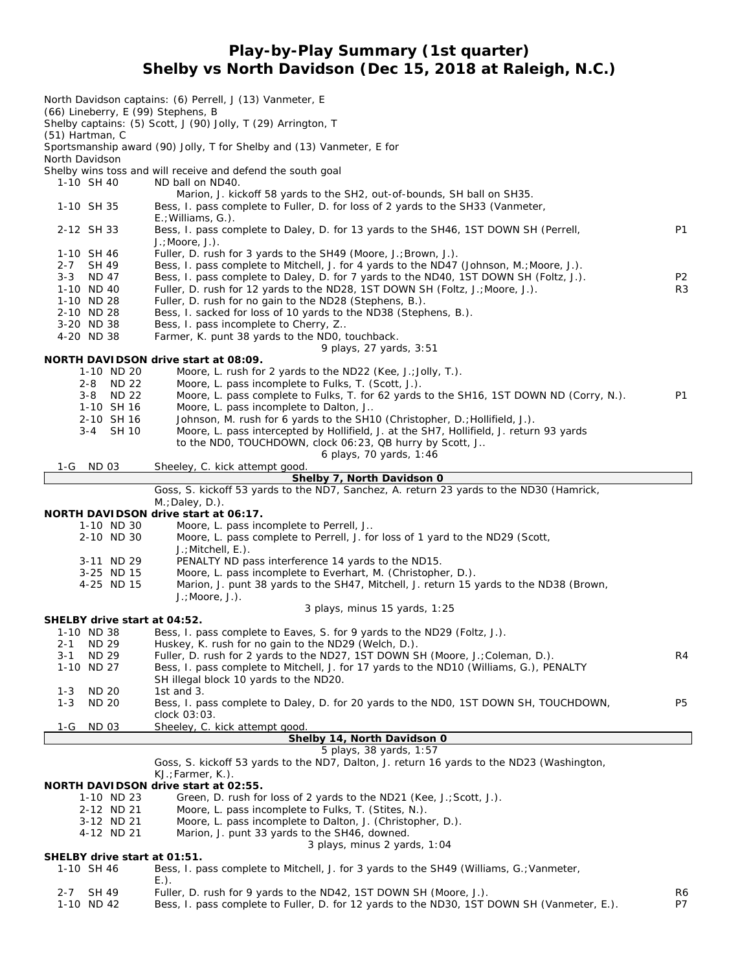#### **Play-by-Play Summary (1st quarter) Shelby vs North Davidson (Dec 15, 2018 at Raleigh, N.C.)**

| (66) Lineberry, E (99) Stephens, B                 | North Davidson captains: (6) Perrell, J (13) Vanmeter, E                                                                                                                                                                                             |                |
|----------------------------------------------------|------------------------------------------------------------------------------------------------------------------------------------------------------------------------------------------------------------------------------------------------------|----------------|
| $(51)$ Hartman, C                                  | Shelby captains: (5) Scott, J (90) Jolly, T (29) Arrington, T                                                                                                                                                                                        |                |
| North Davidson                                     | Sportsmanship award (90) Jolly, T for Shelby and (13) Vanmeter, E for                                                                                                                                                                                |                |
| 1-10 SH 40                                         | Shelby wins toss and will receive and defend the south goal<br>ND ball on ND40.                                                                                                                                                                      |                |
| 1-10 SH 35                                         | Marion, J. kickoff 58 yards to the SH2, out-of-bounds, SH ball on SH35.<br>Bess, I. pass complete to Fuller, D. for loss of 2 yards to the SH33 (Vanmeter,<br>$E$ .; Williams, $G$ .).                                                               |                |
| 2-12 SH 33                                         | Bess, I. pass complete to Daley, D. for 13 yards to the SH46, 1ST DOWN SH (Perrell,<br>$J.:$ Moore, $J.$ ).                                                                                                                                          | P1             |
| 1-10 SH 46<br>SH 49<br>$2 - 7$<br>ND 47<br>$3 - 3$ | Fuller, D. rush for 3 yards to the SH49 (Moore, J.; Brown, J.).<br>Bess, I. pass complete to Mitchell, J. for 4 yards to the ND47 (Johnson, M.; Moore, J.).<br>Bess, I. pass complete to Daley, D. for 7 yards to the ND40, 1ST DOWN SH (Foltz, J.). | P <sub>2</sub> |
| 1-10 ND 40<br>1-10 ND 28<br>2-10 ND 28             | Fuller, D. rush for 12 yards to the ND28, 1ST DOWN SH (Foltz, J.; Moore, J.).<br>Fuller, D. rush for no gain to the ND28 (Stephens, B.).<br>Bess, I. sacked for loss of 10 yards to the ND38 (Stephens, B.).                                         | R3             |
| 3-20 ND 38<br>4-20 ND 38                           | Bess, I. pass incomplete to Cherry, Z<br>Farmer, K. punt 38 yards to the ND0, touchback.                                                                                                                                                             |                |
|                                                    | 9 plays, 27 yards, 3:51                                                                                                                                                                                                                              |                |
|                                                    | <b>NORTH DAVIDSON drive start at 08:09.</b>                                                                                                                                                                                                          |                |
| 1-10 ND 20<br>2-8 ND 22                            | Moore, L. rush for 2 yards to the ND22 (Kee, J.; Jolly, T.).<br>Moore, L. pass incomplete to Fulks, T. (Scott, J.).                                                                                                                                  |                |
| 3-8 ND 22                                          | Moore, L. pass complete to Fulks, T. for 62 yards to the SH16, 1ST DOWN ND (Corry, N.).                                                                                                                                                              | P1             |
| 1-10 SH 16                                         | Moore, L. pass incomplete to Dalton, J                                                                                                                                                                                                               |                |
| 2-10 SH 16                                         | Johnson, M. rush for 6 yards to the SH10 (Christopher, D.; Hollifield, J.).                                                                                                                                                                          |                |
| 3-4 SH 10                                          | Moore, L. pass intercepted by Hollifield, J. at the SH7, Hollifield, J. return 93 yards                                                                                                                                                              |                |
|                                                    | to the ND0, TOUCHDOWN, clock 06:23, QB hurry by Scott, J                                                                                                                                                                                             |                |
|                                                    | 6 plays, 70 yards, 1:46                                                                                                                                                                                                                              |                |
| ND 03<br>1-G                                       | Sheeley, C. kick attempt good.                                                                                                                                                                                                                       |                |
|                                                    | Shelby 7, North Davidson 0<br>Goss, S. kickoff 53 yards to the ND7, Sanchez, A. return 23 yards to the ND30 (Hamrick,                                                                                                                                |                |
|                                                    | M.; Daley, D.).                                                                                                                                                                                                                                      |                |
|                                                    | NORTH DAVIDSON drive start at 06:17.                                                                                                                                                                                                                 |                |
| 1-10 ND 30                                         | Moore, L. pass incomplete to Perrell, J                                                                                                                                                                                                              |                |
| 2-10 ND 30                                         | Moore, L. pass complete to Perrell, J. for loss of 1 yard to the ND29 (Scott,<br>$J$ .; Mitchell, E.).                                                                                                                                               |                |
| 3-11 ND 29                                         | PENALTY ND pass interference 14 yards to the ND15.                                                                                                                                                                                                   |                |
| 3-25 ND 15                                         | Moore, L. pass incomplete to Everhart, M. (Christopher, D.).                                                                                                                                                                                         |                |
| 4-25 ND 15                                         | Marion, J. punt 38 yards to the SH47, Mitchell, J. return 15 yards to the ND38 (Brown,<br>$J$ .; Moore, $J$ .).                                                                                                                                      |                |
| SHELBY drive start at 04:52.                       |                                                                                                                                                                                                                                                      |                |
|                                                    | 3 plays, minus 15 yards, $1:25$                                                                                                                                                                                                                      |                |
|                                                    |                                                                                                                                                                                                                                                      |                |
| 1-10 ND 38                                         | Bess, I. pass complete to Eaves, S. for 9 yards to the ND29 (Foltz, J.).                                                                                                                                                                             |                |
| $2 - 1$<br><b>ND 29</b><br>$3 - 1$<br><b>ND 29</b> | Huskey, K. rush for no gain to the ND29 (Welch, D.).<br>Fuller, D. rush for 2 yards to the ND27, 1ST DOWN SH (Moore, J.; Coleman, D.).                                                                                                               | R4             |
| 1-10 ND 27                                         | Bess, I. pass complete to Mitchell, J. for 17 yards to the ND10 (Williams, G.), PENALTY<br>SH illegal block 10 yards to the ND20.                                                                                                                    |                |
| $1 - 3$<br><b>ND 20</b>                            | 1st and 3.                                                                                                                                                                                                                                           |                |
| $1 - 3$<br><b>ND 20</b>                            | Bess, I. pass complete to Daley, D. for 20 yards to the ND0, 1ST DOWN SH, TOUCHDOWN,                                                                                                                                                                 | P <sub>5</sub> |
| 1-G                                                | clock 03:03.                                                                                                                                                                                                                                         |                |
| <b>ND 03</b>                                       | Sheeley, C. kick attempt good.<br>Shelby 14, North Davidson 0                                                                                                                                                                                        |                |
|                                                    | 5 plays, 38 yards, 1:57                                                                                                                                                                                                                              |                |
|                                                    | Goss, S. kickoff 53 yards to the ND7, Dalton, J. return 16 yards to the ND23 (Washington,<br>$KJ$ .; Farmer, $K$ .).                                                                                                                                 |                |
|                                                    | NORTH DAVIDSON drive start at 02:55.                                                                                                                                                                                                                 |                |
| 1-10 ND 23                                         | Green, D. rush for loss of 2 yards to the ND21 (Kee, J.; Scott, J.).                                                                                                                                                                                 |                |
| 2-12 ND 21                                         | Moore, L. pass incomplete to Fulks, T. (Stites, N.).                                                                                                                                                                                                 |                |
| 3-12 ND 21                                         | Moore, L. pass incomplete to Dalton, J. (Christopher, D.).                                                                                                                                                                                           |                |
| 4-12 ND 21                                         | Marion, J. punt 33 yards to the SH46, downed.                                                                                                                                                                                                        |                |
|                                                    | 3 plays, minus 2 yards, 1:04                                                                                                                                                                                                                         |                |
| SHELBY drive start at 01:51.<br>1-10 SH 46         | Bess, I. pass complete to Mitchell, J. for 3 yards to the SH49 (Williams, G.; Vanmeter,<br>$E.$ ).                                                                                                                                                   |                |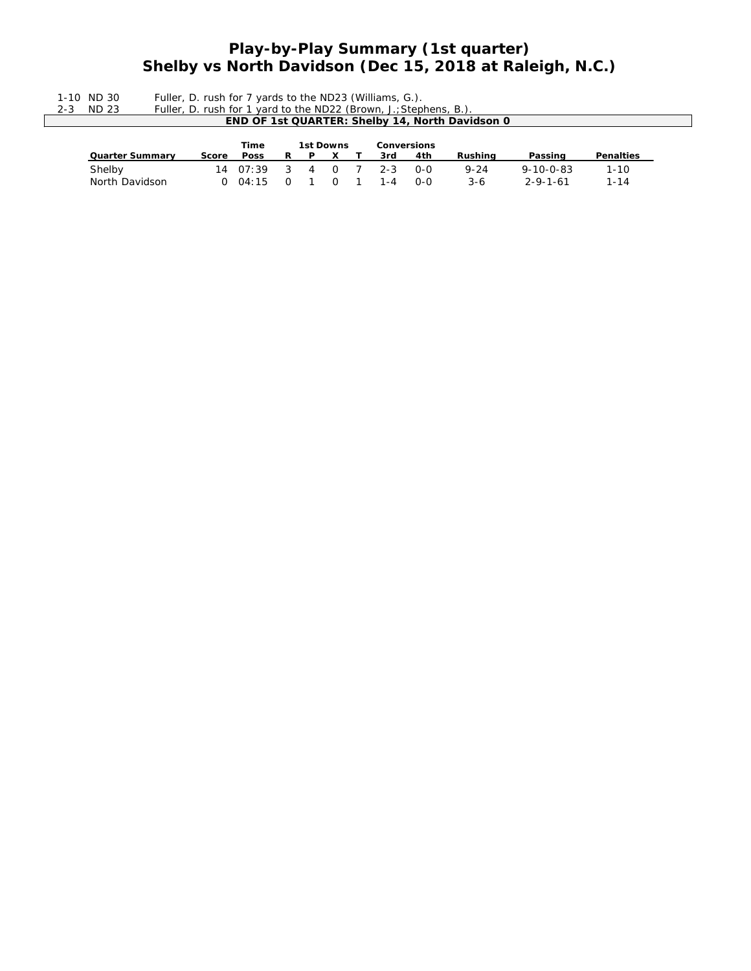## **Play-by-Play Summary (1st quarter) Shelby vs North Davidson (Dec 15, 2018 at Raleigh, N.C.)**

1-10 ND 30 Fuller, D. rush for 7 yards to the ND23 (Williams, G.).

2-3 ND 23 Fuller, D. rush for 1 yard to the ND22 (Brown, J.;Stephens, B.).

|      |           | END OF 1st QUARTER: Shelby 14, North Davidson 0 |  |
|------|-----------|-------------------------------------------------|--|
|      |           |                                                 |  |
| Time | 1st Downs | Conversions                                     |  |

|                        | -------                           |  | . |             | ------------------- |          |                                       |                  |  |
|------------------------|-----------------------------------|--|---|-------------|---------------------|----------|---------------------------------------|------------------|--|
| <b>Quarter Summary</b> | Score Poss                        |  |   | R P X T 3rd | 4th                 | Rushina  | Passing                               | <b>Penalties</b> |  |
| Shelby                 | 14 07:39 3 4 0 7 2-3 0-0          |  |   |             |                     | $9 - 24$ | $9 - 10 - 0 - 83$<br>$2 - 9 - 1 - 61$ | $1 - 10$<br>1-14 |  |
| North Davidson         | $0.04:15$ $0.1$ $0.1$ $1.4$ $0.0$ |  |   |             |                     | 3-6.     |                                       |                  |  |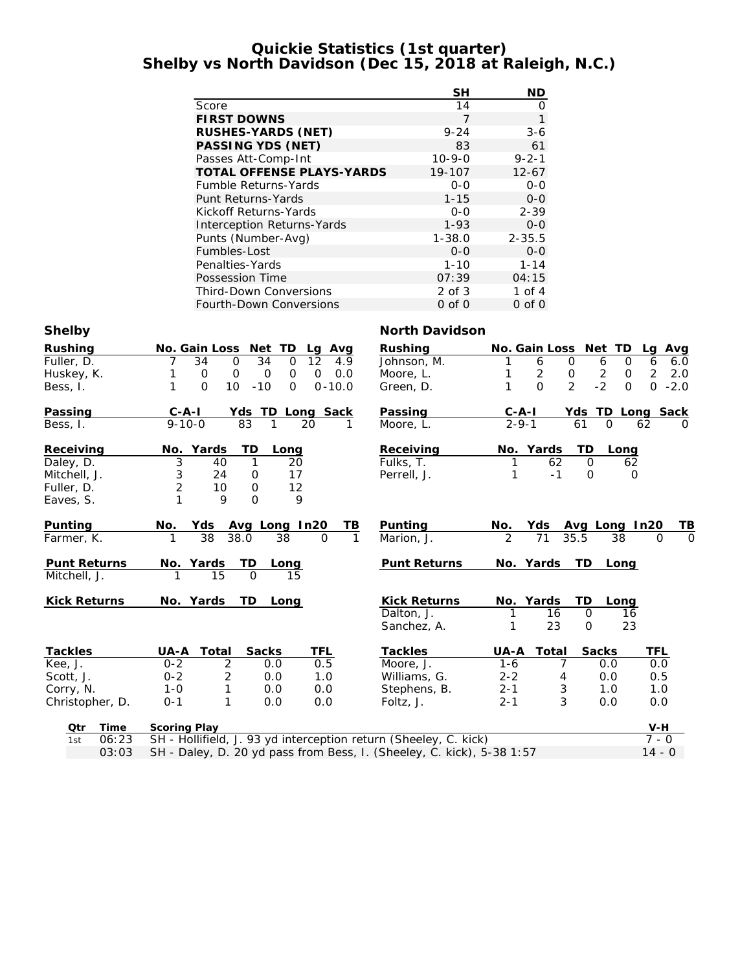#### **Quickie Statistics (1st quarter) Shelby vs North Davidson (Dec 15, 2018 at Raleigh, N.C.)**

|                                   | <b>SH</b>    | ND          |
|-----------------------------------|--------------|-------------|
| Score                             | 14           | Ω           |
| <b>FIRST DOWNS</b>                | 7            | 1           |
| <b>RUSHES-YARDS (NET)</b>         | $9 - 24$     | $3-6$       |
| <b>PASSING YDS (NET)</b>          | 83           | 61          |
| Passes Att-Comp-Int               | $10 - 9 - 0$ | $9 - 2 - 1$ |
| <b>TOTAL OFFENSE PLAYS-YARDS</b>  | 19-107       | $12 - 67$   |
| <b>Fumble Returns-Yards</b>       | $0 - 0$      | $0 - 0$     |
| Punt Returns-Yards                | $1 - 15$     | $0 - 0$     |
| Kickoff Returns-Yards             | 0-0          | $2 - 39$    |
| <b>Interception Returns-Yards</b> | $1 - 93$     | $0 - 0$     |
| Punts (Number-Avg)                | $1 - 38.0$   | $2 - 35.5$  |
| Fumbles-Lost                      | $0 - 0$      | $0 - 0$     |
| Penalties-Yards                   | $1 - 10$     | $1 - 14$    |
| Possession Time                   | 07:39        | 04:15       |
| Third-Down Conversions            | $2$ of $3$   | 1 of 4      |
| <b>Fourth-Down Conversions</b>    | 0 of 0       | $0$ of $0$  |

| <b>Rushing</b>      | No. Gain Loss Net TD                                                  | Avg<br>La                | <b>Rushing</b>      | No. Gain Loss Net TD |                     |                           | Avg<br>La             |
|---------------------|-----------------------------------------------------------------------|--------------------------|---------------------|----------------------|---------------------|---------------------------|-----------------------|
| Fuller, D.          | 34<br>34<br>$\mathbf 0$<br>$\mathbf 0$                                | 12<br>4.9                | Johnson, M.         | 6                    | 0                   | $\Omega$<br>6             | 6<br>6.0              |
| Huskey, K.          | $\mathbf 0$<br>$\mathbf 0$<br>0<br>0<br>1                             | $\mathbf 0$<br>0.0       | Moore, L.           | $\overline{c}$       | $\mathsf{O}\xspace$ | $\sqrt{2}$<br>$\mathbf 0$ | $\overline{a}$<br>2.0 |
| Bess, I.            | $\Omega$<br>10<br>1<br>$-10$<br>$\Omega$                              | $0 - 10.0$               | Green, D.           | $\Omega$             | $\overline{2}$      | $-2$<br>$\Omega$          | $\Omega$<br>$-2.0$    |
| Passing             | $C - A - I$<br>Yds TD Long Sack                                       |                          | Passing             | $C - A - I$          |                     |                           | Yds TD Long Sack      |
| Bess, I.            | $9 - 10 - 0$<br>83<br>20<br>1                                         | 1                        | Moore, L.           | $2 - 9 - 1$          | 61                  | $\Omega$                  | 62<br><sup>o</sup>    |
| Receiving           | TD<br>No. Yards<br>Long                                               |                          | Receiving           | No. Yards            | TD                  | Long                      |                       |
| Daley, D.           | 3<br>40<br>1<br>20                                                    |                          | Fulks, T.           | 1                    | 62                  | $\Omega$<br>62            |                       |
| Mitchell, J.        | 3<br>24<br>17<br>0                                                    |                          | Perrell, J.         | 1                    | $-1$                | $\Omega$<br>$\Omega$      |                       |
| Fuller, D.          | $\overline{2}$<br>12<br>$\mathbf 0$<br>10                             |                          |                     |                      |                     |                           |                       |
| Eaves, S.           | $\Omega$<br>9<br>9                                                    |                          |                     |                      |                     |                           |                       |
| Punting             | Yds<br>Avg Long In20<br>No.                                           | TВ                       | Punting             | Yds<br>No.           |                     | Avg Long In20             | TВ                    |
| Farmer, K.          | 38<br>38<br>$\mathbf{1}$<br>38.0                                      | $\mathbf{1}$<br>$\Omega$ | Marion, J.          | 2<br>71              | 35.5                | 38                        | $\Omega$<br>$\Omega$  |
| <b>Punt Returns</b> | No. Yards<br>TD<br>Long                                               |                          | <b>Punt Returns</b> | No. Yards            | TD.                 | Long                      |                       |
| Mitchell, J.        | $\mathbf{1}$<br>15<br>$\Omega$<br>15                                  |                          |                     |                      |                     |                           |                       |
| <b>Kick Returns</b> | <b>TD</b><br>No. Yards<br>Lona                                        |                          | <b>Kick Returns</b> | No. Yards            | TD                  | Long                      |                       |
|                     |                                                                       |                          | Dalton, J.          |                      | 16                  | $\mathbf 0$<br>16         |                       |
|                     |                                                                       |                          | Sanchez, A.         |                      | 23                  | $\Omega$<br>23            |                       |
| <b>Tackles</b>      | <b>Sacks</b><br>UA-A<br>Total                                         | TFL                      | <b>Tackles</b>      | UA-A                 | Total               | <b>Sacks</b>              | <b>TFL</b>            |
| Kee, J.             | $0 - 2$<br>2<br>0.0                                                   | 0.5                      | Moore, J.           | $1 - 6$              | 7                   | 0.0                       | 0.0                   |
| Scott, J.           | $0 - 2$<br>2<br>0.0                                                   | 1.0                      | Williams, G.        | $2 - 2$              | 4                   | 0.0                       | 0.5                   |
| Corry, N.           | 1<br>$1 - 0$<br>0.0                                                   | 0.0                      | Stephens, B.        | $2 - 1$              | 3                   | 1.0                       | 1.0                   |
| Christopher, D.     | 1<br>$0 - 1$<br>0.0                                                   | 0.0                      | Foltz, J.           | $2 - 1$              | 3                   | 0.0                       | 0.0                   |
| Time<br>Qtr         | <b>Scoring Play</b>                                                   |                          |                     |                      |                     |                           | V-H                   |
| 06:23<br>1st        | SH - Hollifield, J. 93 yd interception return (Sheeley, C. kick)      |                          |                     |                      |                     |                           | $7 - 0$               |
| 03:03               | SH - Daley, D. 20 yd pass from Bess, I. (Sheeley, C. kick), 5-38 1:57 |                          |                     |                      |                     |                           | $14 - 0$              |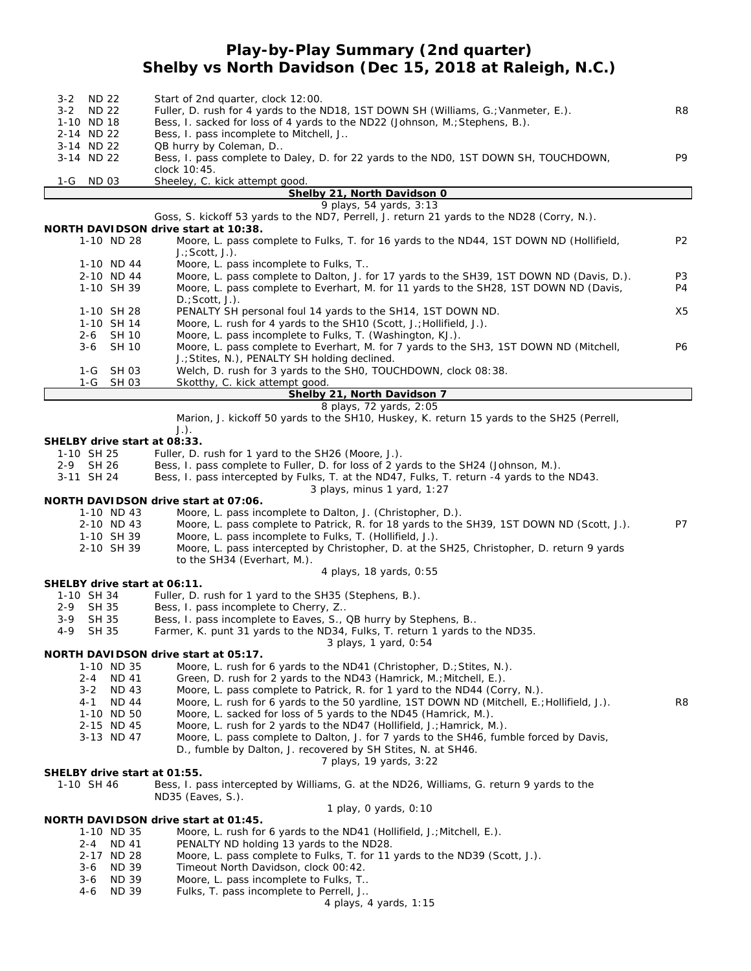#### **Play-by-Play Summary (2nd quarter) Shelby vs North Davidson (Dec 15, 2018 at Raleigh, N.C.)**

| 3-2 ND 22                    | Start of 2nd quarter, clock 12:00.                                                                                                |    |
|------------------------------|-----------------------------------------------------------------------------------------------------------------------------------|----|
| 3-2 ND 22<br>1-10 ND 18      | Fuller, D. rush for 4 yards to the ND18, 1ST DOWN SH (Williams, G.; Vanmeter, E.).                                                | R8 |
| 2-14 ND 22                   | Bess, I. sacked for loss of 4 yards to the ND22 (Johnson, M.; Stephens, B.).<br>Bess, I. pass incomplete to Mitchell, J           |    |
| 3-14 ND 22                   | QB hurry by Coleman, D                                                                                                            |    |
| 3-14 ND 22                   | Bess, I. pass complete to Daley, D. for 22 yards to the ND0, 1ST DOWN SH, TOUCHDOWN,                                              | P9 |
|                              | clock 10:45.                                                                                                                      |    |
| 1-G<br>ND 03                 | Sheeley, C. kick attempt good.                                                                                                    |    |
|                              | Shelby 21, North Davidson 0                                                                                                       |    |
|                              | 9 plays, 54 yards, 3:13                                                                                                           |    |
|                              | Goss, S. kickoff 53 yards to the ND7, Perrell, J. return 21 yards to the ND28 (Corry, N.).                                        |    |
|                              | <b>NORTH DAVIDSON drive start at 10:38.</b>                                                                                       |    |
| 1-10 ND 28                   | Moore, L. pass complete to Fulks, T. for 16 yards to the ND44, 1ST DOWN ND (Hollifield,                                           | P2 |
|                              | $J.$ ; Scott, $J.$ ).                                                                                                             |    |
| 1-10 ND 44<br>2-10 ND 44     | Moore, L. pass incomplete to Fulks, T<br>Moore, L. pass complete to Dalton, J. for 17 yards to the SH39, 1ST DOWN ND (Davis, D.). | P3 |
| 1-10 SH 39                   | Moore, L. pass complete to Everhart, M. for 11 yards to the SH28, 1ST DOWN ND (Davis,                                             | P4 |
|                              | $D$ .; Scott, J.).                                                                                                                |    |
| 1-10 SH 28                   | PENALTY SH personal foul 14 yards to the SH14, 1ST DOWN ND.                                                                       | X5 |
| 1-10 SH 14                   | Moore, L. rush for 4 yards to the SH10 (Scott, J.; Hollifield, J.).                                                               |    |
| <b>SH 10</b><br>2-6          | Moore, L. pass incomplete to Fulks, T. (Washington, KJ.).                                                                         |    |
| $3-6$<br><b>SH 10</b>        | Moore, L. pass complete to Everhart, M. for 7 yards to the SH3, 1ST DOWN ND (Mitchell,                                            | P6 |
|                              | J.; Stites, N.), PENALTY SH holding declined.                                                                                     |    |
| SH 03<br>1-G                 | Welch, D. rush for 3 yards to the SHO, TOUCHDOWN, clock 08:38.                                                                    |    |
| 1-G<br>SH 03                 | Skotthy, C. kick attempt good.                                                                                                    |    |
|                              | Shelby 21, North Davidson 7                                                                                                       |    |
|                              | 8 plays, 72 yards, 2:05                                                                                                           |    |
|                              | Marion, J. kickoff 50 yards to the SH10, Huskey, K. return 15 yards to the SH25 (Perrell,                                         |    |
| SHELBY drive start at 08:33. | $J.$ ).                                                                                                                           |    |
| 1-10 SH 25                   | Fuller, D. rush for 1 yard to the SH26 (Moore, J.).                                                                               |    |
| 2-9 SH 26                    | Bess, I. pass complete to Fuller, D. for loss of 2 yards to the SH24 (Johnson, M.).                                               |    |
| 3-11 SH 24                   | Bess, I. pass intercepted by Fulks, T. at the ND47, Fulks, T. return -4 yards to the ND43.                                        |    |
|                              | 3 plays, minus 1 yard, 1:27                                                                                                       |    |
|                              | NORTH DAVIDSON drive start at 07:06.                                                                                              |    |
| 1-10 ND 43                   | Moore, L. pass incomplete to Dalton, J. (Christopher, D.).                                                                        |    |
| 2-10 ND 43                   | Moore, L. pass complete to Patrick, R. for 18 yards to the SH39, 1ST DOWN ND (Scott, J.).                                         | P7 |
| 1-10 SH 39                   | Moore, L. pass incomplete to Fulks, T. (Hollifield, J.).                                                                          |    |
| 2-10 SH 39                   | Moore, L. pass intercepted by Christopher, D. at the SH25, Christopher, D. return 9 yards                                         |    |
|                              | to the SH34 (Everhart, M.).                                                                                                       |    |
|                              | 4 plays, 18 yards, 0:55                                                                                                           |    |
| SHELBY drive start at 06:11. | Fuller, D. rush for 1 yard to the SH35 (Stephens, B.).                                                                            |    |
| 1-10 SH 34<br>SH 35<br>2-9   | Bess, I. pass incomplete to Cherry, Z                                                                                             |    |
| $3-9$<br>SH 35               | Bess, I. pass incomplete to Eaves, S., QB hurry by Stephens, B                                                                    |    |
| 4-9<br>SH 35                 | Farmer, K. punt 31 yards to the ND34, Fulks, T. return 1 yards to the ND35.                                                       |    |
|                              | 3 plays, 1 yard, 0:54                                                                                                             |    |
|                              | NORTH DAVIDSON drive start at 05:17.                                                                                              |    |
| 1-10 ND 35                   | Moore, L. rush for 6 yards to the ND41 (Christopher, D.; Stites, N.).                                                             |    |
| 2-4 ND 41                    | Green, D. rush for 2 yards to the ND43 (Hamrick, M.; Mitchell, E.).                                                               |    |
| ND 43<br>$3 - 2$             | Moore, L. pass complete to Patrick, R. for 1 yard to the ND44 (Corry, N.).                                                        |    |
| $4 - 1$<br>ND 44             | Moore, L. rush for 6 yards to the 50 yardline, 1ST DOWN ND (Mitchell, E.; Hollifield, J.).                                        | R8 |
| 1-10 ND 50                   | Moore, L. sacked for loss of 5 yards to the ND45 (Hamrick, M.).                                                                   |    |
| 2-15 ND 45                   | Moore, L. rush for 2 yards to the ND47 (Hollifield, J.; Hamrick, M.).                                                             |    |
| 3-13 ND 47                   | Moore, L. pass complete to Dalton, J. for 7 yards to the SH46, fumble forced by Davis,                                            |    |
|                              | D., fumble by Dalton, J. recovered by SH Stites, N. at SH46.                                                                      |    |
| SHELBY drive start at 01:55. | 7 plays, 19 yards, 3:22                                                                                                           |    |
| 1-10 SH 46                   | Bess, I. pass intercepted by Williams, G. at the ND26, Williams, G. return 9 yards to the                                         |    |
|                              | ND35 (Eaves, S.).                                                                                                                 |    |
|                              | 1 play, 0 yards, 0:10                                                                                                             |    |
|                              | NORTH DAVIDSON drive start at 01:45.                                                                                              |    |
| 1-10 ND 35                   | Moore, L. rush for 6 yards to the ND41 (Hollifield, J.; Mitchell, E.).                                                            |    |
| 2-4 ND 41                    | PENALTY ND holding 13 yards to the ND28.                                                                                          |    |
| 2-17 ND 28                   | Moore, L. pass complete to Fulks, T. for 11 yards to the ND39 (Scott, J.).                                                        |    |
| <b>ND 39</b><br>$3-6$        | Timeout North Davidson, clock 00:42.                                                                                              |    |
| $3-6$<br>ND 39               | Moore, L. pass incomplete to Fulks, T                                                                                             |    |
| 4-6<br>ND 39                 | Fulks, T. pass incomplete to Perrell, J                                                                                           |    |
|                              | 4 plays, 4 yards, 1:15                                                                                                            |    |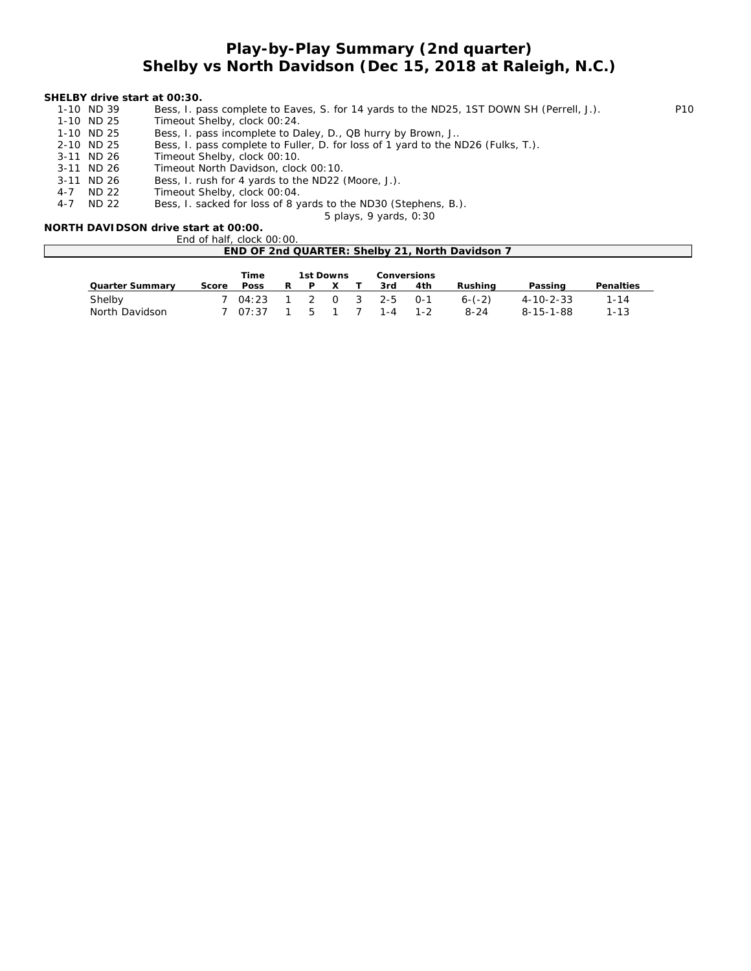#### *Play-by-Play Summary (2nd quarter) Shelby vs North Davidson (Dec 15, 2018 at Raleigh, N.C.)*

#### **SHELBY drive start at 00:30.**

 $\overline{\Gamma}$ 

| 1-10 ND 39 | Bess, I. pass complete to Eaves, S. for 14 yards to the ND25, 1ST DOWN SH (Perrell, J.). | P <sub>10</sub> |
|------------|------------------------------------------------------------------------------------------|-----------------|
| 1-10 ND 25 | Timeout Shelby, clock 00:24.                                                             |                 |
| 1-10 ND 25 | Bess, I. pass incomplete to Daley, D., QB hurry by Brown, J                              |                 |
| 2-10 ND 25 | Bess, I. pass complete to Fuller, D. for loss of 1 yard to the ND26 (Fulks, T.).         |                 |
| 3-11 ND 26 | Timeout Shelby, clock 00:10.                                                             |                 |
| 3-11 ND 26 | Timeout North Davidson, clock 00:10.                                                     |                 |
| 3-11 ND 26 | Bess, I. rush for 4 yards to the ND22 (Moore, J.).                                       |                 |
| ND 22      | Timeout Shelby, clock 00:04.                                                             |                 |
| ND 22      | Bess, I. sacked for loss of 8 yards to the ND30 (Stephens, B.).                          |                 |
|            | 5 plays, 9 yards, 0:30                                                                   |                 |
|            |                                                                                          |                 |

#### **NORTH DAVIDSON drive start at 00:00.**

|  | End of half, clock 00:00. |  |  |  |
|--|---------------------------|--|--|--|
|  |                           |  |  |  |

|                                                                                                                   |  | End of half, clock 00:00. |  |            |  |          |                  |                    |                      |                                |                      |
|-------------------------------------------------------------------------------------------------------------------|--|---------------------------|--|------------|--|----------|------------------|--------------------|----------------------|--------------------------------|----------------------|
| END OF 2nd QUARTER: Shelby 21, North Davidson 7                                                                   |  |                           |  |            |  |          |                  |                    |                      |                                |                      |
| 1st Downs<br><b>Conversions</b><br>Time<br><b>Quarter Summary</b><br><b>Poss</b><br>4th<br>Score<br>3rd<br>P<br>R |  |                           |  |            |  |          | <b>Rushing</b>   | Passing            | <b>Penalties</b>     |                                |                      |
| Shelby<br>North Davidson                                                                                          |  | 04:23<br>07.37            |  | 1 2 0<br>5 |  | $\sim$ 3 | $2 - 5$<br>1 - 4 | $0 - 1$<br>$1 - 2$ | $6 - (-2)$<br>$8-24$ | $4 - 10 - 2 - 33$<br>8-15-1-88 | $1 - 14$<br>$1 - 13$ |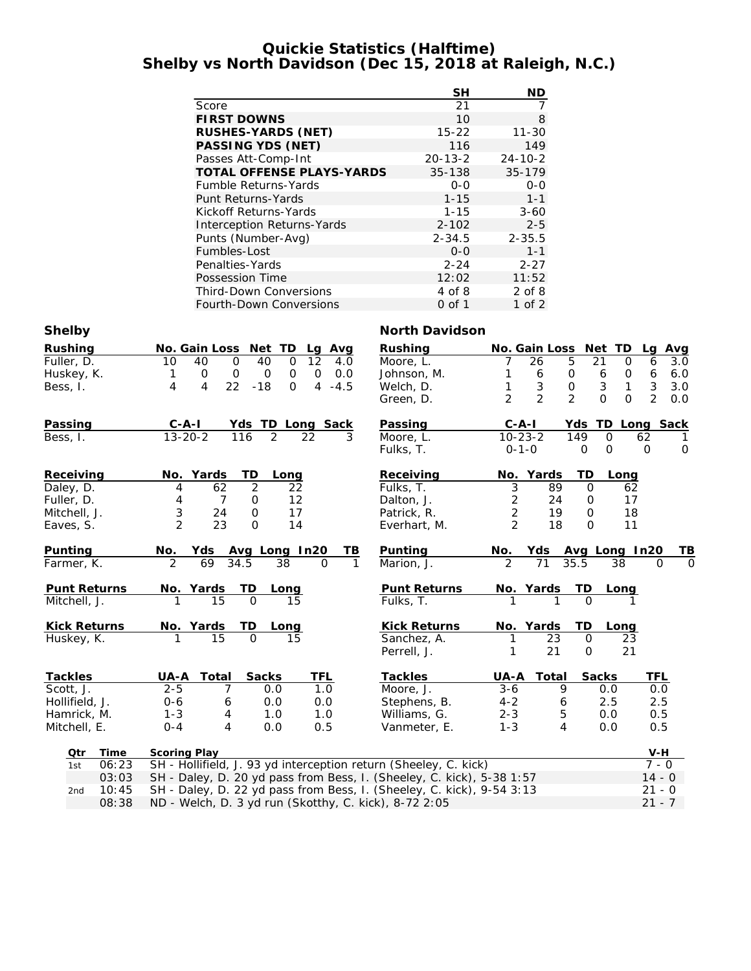#### **Quickie Statistics (Halftime) Shelby vs North Davidson (Dec 15, 2018 at Raleigh, N.C.)**

|                                   | SΗ            | ND            |
|-----------------------------------|---------------|---------------|
| Score                             | 21            | 7             |
| <b>FIRST DOWNS</b>                | 10            | 8             |
| <b>RUSHES-YARDS (NET)</b>         | $15 - 22$     | $11 - 30$     |
| <b>PASSING YDS (NET)</b>          | 116           | 149           |
| Passes Att-Comp-Int               | $20 - 13 - 2$ | $24 - 10 - 2$ |
| <b>TOTAL OFFENSE PLAYS-YARDS</b>  | 35-138        | 35-179        |
| <b>Fumble Returns-Yards</b>       | $0 - 0$       | $0 - 0$       |
| Punt Returns-Yards                | $1 - 15$      | $1 - 1$       |
| Kickoff Returns-Yards             | $1 - 15$      | $3 - 60$      |
| <b>Interception Returns-Yards</b> | $2 - 102$     | $2 - 5$       |
| Punts (Number-Avg)                | $2 - 34.5$    | $2 - 35.5$    |
| Fumbles-Lost                      | $O - O$       | $1 - 1$       |
| Penalties-Yards                   | $2 - 24$      | $2 - 27$      |
| Possession Time                   | 12:02         | 11:52         |
| <b>Third-Down Conversions</b>     | 4 of 8        | $2$ of $8$    |
| Fourth-Down Conversions           | 0 of 1        | 1 of 2        |

| <b>Rushing</b>      |       |                     | No. Gain Loss Net TD |                  |                            | Lg Avg          |        | <b>Rushing</b>                                                        |                | No. Gain Loss Net TD |                |                            | Lg Avg         |             |
|---------------------|-------|---------------------|----------------------|------------------|----------------------------|-----------------|--------|-----------------------------------------------------------------------|----------------|----------------------|----------------|----------------------------|----------------|-------------|
| Fuller, D.          |       | 10                  | 40                   | $\mathsf{O}$     | 40<br>$\mathbf 0$          | $\overline{12}$ | 4.0    | Moore, L.                                                             | 7              | 26                   | 5              | 21<br>$\mathbf{O}$         | 6              | 3.0         |
| Huskey, K.          |       | 1                   | 0                    | $\mathbf 0$      | $\mathbf 0$<br>$\mathbf 0$ | $\mathsf{O}$    | 0.0    | Johnson, M.                                                           | 1              | 6                    | 0              | 6<br>0                     | 6              | 6.0         |
| Bess, I.            |       | $\overline{4}$      | $\overline{4}$<br>22 | $-18$            | $\Omega$                   | $\overline{4}$  | $-4.5$ | Welch, D.                                                             | 1              | $\sqrt{3}$           | $\mbox{O}$     | $\sqrt{3}$<br>$\mathbf{1}$ | $\mathfrak{Z}$ | 3.0         |
|                     |       |                     |                      |                  |                            |                 |        | Green, D.                                                             | $\overline{2}$ | $\overline{2}$       | $\mathfrak{D}$ | $\Omega$<br>$\Omega$       | $\overline{2}$ | 0.0         |
| Passing             |       | C-A-I               |                      |                  | Yds TD Long Sack           |                 |        | Passing                                                               |                | $C - A - I$          |                | Yds TD Long Sack           |                |             |
| Bess, I.            |       | $13 - 20 - 2$       |                      | $\overline{116}$ | $\overline{2}$             | 22              |        | Moore, L.                                                             |                | $10 - 23 - 2$        | 149            | $\Omega$                   | 62             |             |
|                     |       |                     |                      |                  |                            |                 |        | Fulks, T.                                                             |                | $0 - 1 - 0$          | $\mathbf 0$    | $\Omega$                   | $\mathbf 0$    | $\mathbf 0$ |
| Receiving           |       |                     | No. Yards            | <b>TD</b>        | Long                       |                 |        | Receiving                                                             |                | No. Yards            | <b>TD</b>      | Long                       |                |             |
| Daley, D.           |       | $\overline{4}$      | 62                   | $\overline{2}$   | 22                         |                 |        | Fulks, T.                                                             | $\overline{3}$ | 89                   | $\Omega$       | 62                         |                |             |
| Fuller, D.          |       | 4                   | $\overline{7}$       | 0                | 12                         |                 |        | Dalton, J.                                                            | $\overline{c}$ | 24                   | $\mathbf 0$    | 17                         |                |             |
| Mitchell, J.        |       | 3                   | 24                   | $\mathbf 0$      | 17                         |                 |        | Patrick, R.                                                           | $\overline{2}$ | 19                   | $\mathbf 0$    | 18                         |                |             |
| Eaves, S.           |       | $\overline{2}$      | 23                   | $\Omega$         | 14                         |                 |        | Everhart, M.                                                          | $\mathcal{P}$  | 18                   | $\Omega$       | 11                         |                |             |
| Punting             |       | No.                 | Yds Avg Long In20    |                  |                            |                 | TВ     | <b>Punting</b>                                                        | No.            | Yds                  |                | Avg Long In20              |                | ΤВ          |
| Farmer, K.          |       |                     | 69                   | 34.5             | 38                         | $\Omega$        |        | Marion, J.                                                            |                | $\overline{71}$      | 35.5           | 38                         | $\Omega$       | $\Omega$    |
| <b>Punt Returns</b> |       |                     | No. Yards            | TD.              | Long                       |                 |        | <b>Punt Returns</b>                                                   |                | No. Yards            | TD.            | Long                       |                |             |
| Mitchell, J.        |       |                     | 15                   | $\Omega$         | 15                         |                 |        | Fulks, T.                                                             |                | 1                    | $\Omega$       |                            |                |             |
| <b>Kick Returns</b> |       |                     | No. Yards            | TD.              | Long                       |                 |        | <b>Kick Returns</b>                                                   |                | No. Yards            | TD             | Long                       |                |             |
| Huskey, K.          |       |                     | 15                   | $\Omega$         | 15                         |                 |        | Sanchez, A.                                                           |                | $\overline{23}$      | $\Omega$       | 23                         |                |             |
|                     |       |                     |                      |                  |                            |                 |        | Perrell, J.                                                           | 1              | 21                   | $\mathbf 0$    | 21                         |                |             |
| <b>Tackles</b>      |       |                     | <b>UA-A Total</b>    |                  | <b>Sacks</b>               | TFL             |        | <b>Tackles</b>                                                        | UA-A           | Total                |                | <b>Sacks</b>               | TFL            |             |
| Scott, J.           |       | $2 - 5$             | 7                    |                  | 0.0                        | 1.0             |        | Moore, J.                                                             | $3 - 6$        | 9                    |                | 0.0                        | 0.0            |             |
| Hollifield, J.      |       | $0 - 6$             | 6                    |                  | 0.0                        | 0.0             |        | Stephens, B.                                                          | $4 - 2$        | 6                    |                | 2.5                        | 2.5            |             |
| Hamrick, M.         |       | $1 - 3$             | 4                    |                  | 1.0                        | 1.0             |        | Williams, G.                                                          | $2 - 3$        | 5                    |                | 0.0                        | 0.5            |             |
| Mitchell, E.        |       | $0 - 4$             | 4                    |                  | 0.0                        | 0.5             |        | Vanmeter, E.                                                          | $1 - 3$        | 4                    |                | 0.0                        | 0.5            |             |
| Qtr                 | Time  | <b>Scoring Play</b> |                      |                  |                            |                 |        |                                                                       |                |                      |                |                            | V-H            |             |
| 1st                 | 06:23 |                     |                      |                  |                            |                 |        | SH - Hollifield, J. 93 yd interception return (Sheeley, C. kick)      |                |                      |                |                            | $7 - 0$        |             |
|                     | 03:03 |                     |                      |                  |                            |                 |        | SH - Daley, D. 20 yd pass from Bess, I. (Sheeley, C. kick), 5-38 1:57 |                |                      |                |                            | $14 - 0$       |             |
| 2nd                 | 10:45 |                     |                      |                  |                            |                 |        | SH - Daley, D. 22 yd pass from Bess, I. (Sheeley, C. kick), 9-54 3:13 |                |                      |                |                            | $21 - 0$       |             |
|                     | 08:38 |                     |                      |                  |                            |                 |        | ND - Welch, D. 3 yd run (Skotthy, C. kick), 8-72 2:05                 |                |                      |                |                            | $21 - 7$       |             |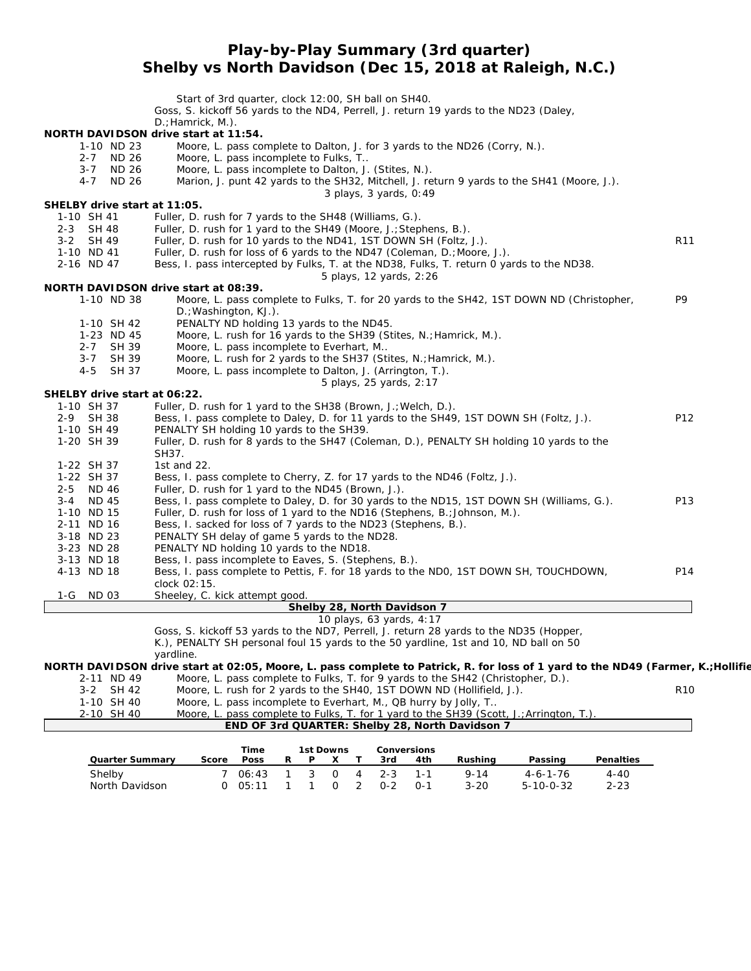#### **Play-by-Play Summary (3rd quarter) Shelby vs North Davidson (Dec 15, 2018 at Raleigh, N.C.)**

| Goss, S. kickoff 56 yards to the ND4, Perrell, J. return 19 yards to the ND23 (Daley,<br>D.; Hamrick, M.).<br><b>NORTH DAVIDSON drive start at 11:54.</b><br>Moore, L. pass complete to Dalton, J. for 3 yards to the ND26 (Corry, N.).<br>1-10 ND 23<br>2-7 ND 26<br>Moore, L. pass incomplete to Fulks, T |  |
|-------------------------------------------------------------------------------------------------------------------------------------------------------------------------------------------------------------------------------------------------------------------------------------------------------------|--|
|                                                                                                                                                                                                                                                                                                             |  |
|                                                                                                                                                                                                                                                                                                             |  |
|                                                                                                                                                                                                                                                                                                             |  |
|                                                                                                                                                                                                                                                                                                             |  |
| 3-7 ND 26<br>Moore, L. pass incomplete to Dalton, J. (Stites, N.).                                                                                                                                                                                                                                          |  |
| $4 - 7$<br>ND 26<br>Marion, J. punt 42 yards to the SH32, Mitchell, J. return 9 yards to the SH41 (Moore, J.).                                                                                                                                                                                              |  |
| 3 plays, 3 yards, 0:49                                                                                                                                                                                                                                                                                      |  |
| SHELBY drive start at 11:05.<br>1-10 SH 41<br>Fuller, D. rush for 7 yards to the SH48 (Williams, G.).                                                                                                                                                                                                       |  |
| SH 48<br>Fuller, D. rush for 1 yard to the SH49 (Moore, J.; Stephens, B.).<br>2-3                                                                                                                                                                                                                           |  |
| R11<br>3-2 SH 49<br>Fuller, D. rush for 10 yards to the ND41, 1ST DOWN SH (Foltz, J.).                                                                                                                                                                                                                      |  |
| Fuller, D. rush for loss of 6 yards to the ND47 (Coleman, D.; Moore, J.).<br>1-10 ND 41                                                                                                                                                                                                                     |  |
| 2-16 ND 47<br>Bess, I. pass intercepted by Fulks, T. at the ND38, Fulks, T. return 0 yards to the ND38.                                                                                                                                                                                                     |  |
| 5 plays, 12 yards, 2:26                                                                                                                                                                                                                                                                                     |  |
| NORTH DAVIDSON drive start at 08:39.                                                                                                                                                                                                                                                                        |  |
| P <sub>9</sub><br>1-10 ND 38<br>Moore, L. pass complete to Fulks, T. for 20 yards to the SH42, 1ST DOWN ND (Christopher,                                                                                                                                                                                    |  |
| D.; Washington, KJ.).                                                                                                                                                                                                                                                                                       |  |
| 1-10 SH 42<br>PENALTY ND holding 13 yards to the ND45.<br>Moore, L. rush for 16 yards to the SH39 (Stites, N.; Hamrick, M.).<br>1-23 ND 45                                                                                                                                                                  |  |
| SH 39<br>Moore, L. pass incomplete to Everhart, M<br>$2 - 7$                                                                                                                                                                                                                                                |  |
| SH 39<br>3-7<br>Moore, L. rush for 2 yards to the SH37 (Stites, N.; Hamrick, M.).                                                                                                                                                                                                                           |  |
| $4 - 5$<br>SH 37<br>Moore, L. pass incomplete to Dalton, J. (Arrington, T.).                                                                                                                                                                                                                                |  |
| 5 plays, 25 yards, 2:17                                                                                                                                                                                                                                                                                     |  |
| SHELBY drive start at 06:22.                                                                                                                                                                                                                                                                                |  |
| Fuller, D. rush for 1 yard to the SH38 (Brown, J.; Welch, D.).<br>1-10 SH 37                                                                                                                                                                                                                                |  |
| P12<br>2-9 SH 38<br>Bess, I. pass complete to Daley, D. for 11 yards to the SH49, 1ST DOWN SH (Foltz, J.).                                                                                                                                                                                                  |  |
| 1-10 SH 49<br>PENALTY SH holding 10 yards to the SH39.                                                                                                                                                                                                                                                      |  |
| 1-20 SH 39<br>Fuller, D. rush for 8 yards to the SH47 (Coleman, D.), PENALTY SH holding 10 yards to the<br>SH37.                                                                                                                                                                                            |  |
| 1st and 22.<br>1-22 SH 37                                                                                                                                                                                                                                                                                   |  |
| 1-22 SH 37<br>Bess, I. pass complete to Cherry, Z. for 17 yards to the ND46 (Foltz, J.).                                                                                                                                                                                                                    |  |
| Fuller, D. rush for 1 yard to the ND45 (Brown, J.).<br>$2 - 5$<br>ND 46                                                                                                                                                                                                                                     |  |
| P13<br>Bess, I. pass complete to Daley, D. for 30 yards to the ND15, 1ST DOWN SH (Williams, G.).<br>3-4<br>ND 45                                                                                                                                                                                            |  |
| 1-10 ND 15<br>Fuller, D. rush for loss of 1 yard to the ND16 (Stephens, B.; Johnson, M.).                                                                                                                                                                                                                   |  |
| Bess, I. sacked for loss of 7 yards to the ND23 (Stephens, B.).<br>2-11 ND 16                                                                                                                                                                                                                               |  |
| 3-18 ND 23<br>PENALTY SH delay of game 5 yards to the ND28.                                                                                                                                                                                                                                                 |  |
| PENALTY ND holding 10 yards to the ND18.<br>3-23 ND 28                                                                                                                                                                                                                                                      |  |
| 3-13 ND 18<br>Bess, I. pass incomplete to Eaves, S. (Stephens, B.).                                                                                                                                                                                                                                         |  |
| P14<br>4-13 ND 18<br>Bess, I. pass complete to Pettis, F. for 18 yards to the NDO, 1ST DOWN SH, TOUCHDOWN,                                                                                                                                                                                                  |  |
| clock 02:15.<br>Sheeley, C. kick attempt good.<br>ND 03<br>1-G                                                                                                                                                                                                                                              |  |
| Shelby 28, North Davidson 7                                                                                                                                                                                                                                                                                 |  |
| 10 plays, 63 yards, 4:17                                                                                                                                                                                                                                                                                    |  |
| Goss, S. kickoff 53 yards to the ND7, Perrell, J. return 28 yards to the ND35 (Hopper,                                                                                                                                                                                                                      |  |
| K.), PENALTY SH personal foul 15 yards to the 50 yardline, 1st and 10, ND ball on 50                                                                                                                                                                                                                        |  |
| yardline.                                                                                                                                                                                                                                                                                                   |  |
| NORTH DAVIDSON drive start at 02:05, Moore, L. pass complete to Patrick, R. for loss of 1 yard to the ND49 (Farmer, K.;Hollifie                                                                                                                                                                             |  |
| 2-11 ND 49<br>Moore, L. pass complete to Fulks, T. for 9 yards to the SH42 (Christopher, D.).<br>Moore, L. rush for 2 yards to the SH40, 1ST DOWN ND (Hollifield, J.).                                                                                                                                      |  |
| $3 - 2$<br>SH 42<br>R <sub>10</sub><br>Moore, L. pass incomplete to Everhart, M., QB hurry by Jolly, T<br>1-10 SH 40                                                                                                                                                                                        |  |
| 2-10 SH 40<br>Moore, L. pass complete to Fulks, T. for 1 yard to the SH39 (Scott, J.; Arrington, T.).                                                                                                                                                                                                       |  |
| END OF 3rd QUARTER: Shelby 28, North Davidson 7                                                                                                                                                                                                                                                             |  |

|                        |       | Time           |   | 1st Downs |  | <b>Conversions</b> |             |         |          |                   |           |
|------------------------|-------|----------------|---|-----------|--|--------------------|-------------|---------|----------|-------------------|-----------|
| <b>Quarter Summary</b> | Score | Poss           | R |           |  |                    | 3rd         | 4th     | Rushina  | Passing           | Penalties |
| Shelby                 |       | 06:43          |   |           |  |                    | 1 3 0 4 2-3 | -1-1    | $9 - 14$ | $4 - 6 - 1 - 76$  | $4 - 40$  |
| North Davidson         |       | $0\quad 05:11$ |   |           |  |                    | $O - 2$     | $0 - 1$ | $3 - 20$ | $5 - 10 - 0 - 32$ | $2 - 23$  |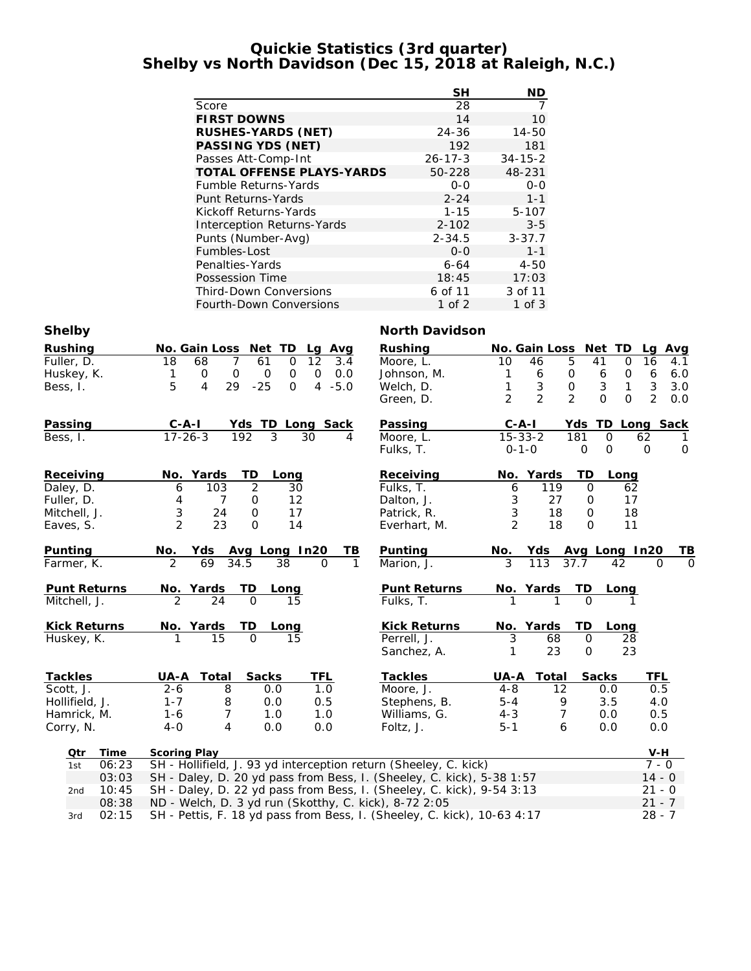#### **Quickie Statistics (3rd quarter) Shelby vs North Davidson (Dec 15, 2018 at Raleigh, N.C.)**

|                                   | <b>SH</b>     | ND            |
|-----------------------------------|---------------|---------------|
| Score                             | 28            | 7             |
| <b>FIRST DOWNS</b>                | 14            | 10            |
| <b>RUSHES-YARDS (NET)</b>         | 24-36         | $14 - 50$     |
| <b>PASSING YDS (NET)</b>          | 192           | 181           |
| Passes Att-Comp-Int               | $26 - 17 - 3$ | $34 - 15 - 2$ |
| <b>TOTAL OFFENSE PLAYS-YARDS</b>  | 50-228        | 48-231        |
| <b>Fumble Returns-Yards</b>       | $0 - 0$       | $0 - 0$       |
| Punt Returns-Yards                | $2 - 24$      | $1 - 1$       |
| Kickoff Returns-Yards             | $1 - 15$      | $5 - 107$     |
| <b>Interception Returns-Yards</b> | $2 - 102$     | $3 - 5$       |
| Punts (Number-Avg)                | $2 - 34.5$    | $3 - 37.7$    |
| Fumbles-Lost                      | $0 - 0$       | $1 - 1$       |
| Penalties-Yards                   | $6 - 64$      | $4 - 50$      |
| Possession Time                   | 18:45         | 17:03         |
| <b>Third-Down Conversions</b>     | 6 of 11       | 3 of 11       |
| Fourth-Down Conversions           | 1 of 2        | 1 of $3$      |

| <b>Rushing</b>              | No. Gain Loss Net TD<br>Lg Avg                                                                                                 | <b>Rushing</b>                     | No. Gain Loss  |                                  | Net TD                    | Lg Avg                |
|-----------------------------|--------------------------------------------------------------------------------------------------------------------------------|------------------------------------|----------------|----------------------------------|---------------------------|-----------------------|
| Fuller, D.                  | 18<br>7<br>12<br>68<br>61<br>$\mathbf 0$<br>3.4                                                                                | Moore, L.                          | 10<br>46       | 5                                | 41<br>$\Omega$            | 16<br>4.1             |
| Huskey, K.                  | $\mathbf 0$<br>$\mathbf 0$<br>$\mathbf 0$<br>1<br>$\mathbf 0$<br>$\mathbf 0$<br>0.0                                            | Johnson, M.                        | 1              | 6<br>0                           | 6<br>0                    | 6<br>6.0              |
| Bess, I.                    | 5<br>4<br>29<br>$-25$<br>4<br>$-5.0$<br>0                                                                                      | Welch, D.                          | 1              | $\mathfrak{Z}$<br>$\mathbf 0$    | $\mathfrak{Z}$<br>1       | 3<br>3.0              |
|                             |                                                                                                                                | Green, D.                          | $\overline{2}$ | $\overline{2}$<br>$\overline{2}$ | $\Omega$<br>$\Omega$      | $\overline{2}$<br>0.0 |
| <b>Passing</b>              | $C - A - I$<br>Yds TD Long Sack                                                                                                | Passing                            | $C-A-I$        | Yds                              |                           | TD Long Sack          |
| Bess, I.                    | $17 - 26 - 3$<br>192<br>3<br>30<br>4                                                                                           | Moore, L.                          | $15 - 33 - 2$  | 181                              | $\mathbf 0$               | 62                    |
|                             |                                                                                                                                | Fulks, T.                          | $0 - 1 - 0$    | $\Omega$                         | $\Omega$                  | $\Omega$<br>$\Omega$  |
| Receiving                   | No. Yards<br>TD<br>Long                                                                                                        | Receiving                          | No. Yards      | TD                               | Long                      |                       |
| Daley, D.                   | $\overline{2}$<br>103<br>30<br>6                                                                                               | Fulks, T.                          | 6              | 119                              | $\mathbf 0$<br>62         |                       |
| Fuller, D.                  | 12<br>4<br>$\overline{7}$<br>0                                                                                                 | Dalton, J.                         | 3              | 27                               | 17<br>0                   |                       |
| Mitchell, J.                | 3<br>24<br>17<br>$\mathbf 0$                                                                                                   | Patrick, R.                        | 3              | 18                               | 18<br>$\mathbf 0$         |                       |
| Eaves, S.                   | $\overline{2}$<br>23<br>$\mathbf 0$<br>14                                                                                      | Everhart, M.                       | $\mathfrak{D}$ | 18                               | 11<br>$\Omega$            |                       |
| Punting                     | Yds Avg Long In20<br>No.<br>ТВ                                                                                                 | Punting                            | No.            | Yds                              | Avg Long In20             | ΤB                    |
| Farmer, K.                  | 69<br>$\mathcal{P}$<br>34.5<br>38<br>$\Omega$<br>1                                                                             | Marion, J.                         | 3              | $\overline{113}$<br>37.7         | 42                        | $\Omega$<br>$\Omega$  |
| <b>Punt Returns</b>         | TD<br>No. Yards<br>Long                                                                                                        | <b>Punt Returns</b>                | No. Yards      | TD                               | Long                      |                       |
| Mitchell, J.                | $\mathcal{P}$<br>24<br>$\Omega$<br>15                                                                                          | Fulks, T.                          |                | 1                                | $\Omega$                  |                       |
|                             |                                                                                                                                |                                    |                |                                  |                           |                       |
|                             |                                                                                                                                |                                    |                | TD                               |                           |                       |
| <b>Kick Returns</b>         | <u>No. Yards</u><br>TD<br>Long<br>$\overline{O}$<br>15<br>15                                                                   | <b>Kick Returns</b><br>Perrell, J. | No. Yards<br>3 | 68                               | Long<br>$\mathbf 0$<br>28 |                       |
| Huskey, K.                  |                                                                                                                                | Sanchez, A.                        |                | 23                               | 23<br>$\mathbf 0$         |                       |
| <b>Tackles</b>              | UA-A Total<br>TFL                                                                                                              | <b>Tackles</b>                     | UA-A           | Total                            | <b>Sacks</b>              | <b>TFL</b>            |
| Scott, J.                   | <b>Sacks</b><br>$2 - 6$<br>8<br>0.0<br>1.0                                                                                     | Moore, J.                          | $4 - 8$        | $12 \overline{ }$                | 0.0                       | 0.5                   |
| Hollifield, J.              | 0.5<br>$1 - 7$<br>8<br>0.0                                                                                                     | Stephens, B.                       | $5 - 4$        | 9                                | 3.5                       | 4.0                   |
| Hamrick, M.                 | $1 - 6$<br>$\overline{7}$<br>1.0<br>1.0                                                                                        | Williams, G.                       | $4 - 3$        | 7                                | 0.0                       | 0.5                   |
| Corry, N.                   | $\overline{4}$<br>$4-0$<br>0.0<br>0.0                                                                                          | Foltz, J.                          | $5 - 1$        | 6                                | 0.0                       | 0.0                   |
|                             |                                                                                                                                |                                    |                |                                  |                           |                       |
| Time<br>Qtr<br>06:23<br>1st | <b>Scoring Play</b>                                                                                                            |                                    |                |                                  |                           | V-H<br>$7 - 0$        |
| 03:03                       | SH - Hollifield, J. 93 yd interception return (Sheeley, C. kick)                                                               |                                    |                |                                  |                           | $14 - 0$              |
| 10:45<br>2 <sub>nd</sub>    | SH - Daley, D. 20 yd pass from Bess, I. (Sheeley, C. kick), 5-38 1:57                                                          |                                    |                |                                  |                           | $21 - 0$              |
| 08:38                       | SH - Daley, D. 22 yd pass from Bess, I. (Sheeley, C. kick), 9-54 3:13<br>ND - Welch, D. 3 yd run (Skotthy, C. kick), 8-72 2:05 |                                    |                |                                  |                           | $21 - 7$              |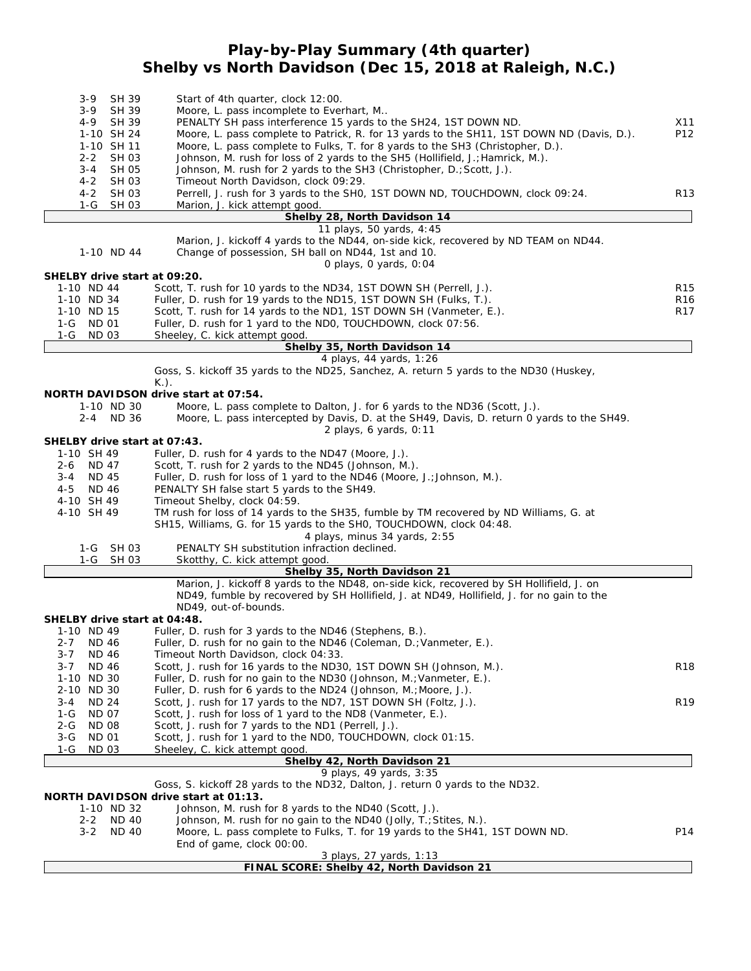#### **Play-by-Play Summary (4th quarter) Shelby vs North Davidson (Dec 15, 2018 at Raleigh, N.C.)**

| SH 39<br>3-9                 | Start of 4th quarter, clock 12:00.                                                                                                    |                 |
|------------------------------|---------------------------------------------------------------------------------------------------------------------------------------|-----------------|
| $3-9$<br>SH 39               | Moore, L. pass incomplete to Everhart, M                                                                                              |                 |
| $4 - 9$<br>SH 39             | PENALTY SH pass interference 15 yards to the SH24, 1ST DOWN ND.                                                                       | X11             |
| 1-10 SH 24                   | Moore, L. pass complete to Patrick, R. for 13 yards to the SH11, 1ST DOWN ND (Davis, D.).                                             | P12             |
| 1-10 SH 11                   | Moore, L. pass complete to Fulks, T. for 8 yards to the SH3 (Christopher, D.).                                                        |                 |
| <b>SH 03</b><br>$2 - 2$      | Johnson, M. rush for loss of 2 yards to the SH5 (Hollifield, J.; Hamrick, M.).                                                        |                 |
| $3 - 4$<br>SH 05             | Johnson, M. rush for 2 yards to the SH3 (Christopher, D.; Scott, J.).                                                                 |                 |
| $4 - 2$<br><b>SH 03</b>      | Timeout North Davidson, clock 09:29.                                                                                                  |                 |
| $4 - 2$<br><b>SH 03</b>      | Perrell, J. rush for 3 yards to the SH0, 1ST DOWN ND, TOUCHDOWN, clock 09:24.                                                         | R <sub>13</sub> |
| $1-G$<br>SH 03               | Marion, J. kick attempt good.                                                                                                         |                 |
|                              | Shelby 28, North Davidson 14                                                                                                          |                 |
|                              | 11 plays, 50 yards, 4:45                                                                                                              |                 |
|                              | Marion, J. kickoff 4 yards to the ND44, on-side kick, recovered by ND TEAM on ND44.                                                   |                 |
| 1-10 ND 44                   | Change of possession, SH ball on ND44, 1st and 10.<br>0 plays, 0 yards, 0:04                                                          |                 |
| SHELBY drive start at 09:20. |                                                                                                                                       |                 |
| 1-10 ND 44                   | Scott, T. rush for 10 yards to the ND34, 1ST DOWN SH (Perrell, J.).                                                                   | R <sub>15</sub> |
| 1-10 ND 34                   | Fuller, D. rush for 19 yards to the ND15, 1ST DOWN SH (Fulks, T.).                                                                    | R <sub>16</sub> |
| 1-10 ND 15                   |                                                                                                                                       | R <sub>17</sub> |
| 1-G ND 01                    | Scott, T. rush for 14 yards to the ND1, 1ST DOWN SH (Vanmeter, E.).<br>Fuller, D. rush for 1 yard to the ND0, TOUCHDOWN, clock 07:56. |                 |
| $1-G$<br><b>ND 03</b>        | Sheeley, C. kick attempt good.                                                                                                        |                 |
|                              | Shelby 35, North Davidson 14                                                                                                          |                 |
|                              | 4 plays, 44 yards, 1:26                                                                                                               |                 |
|                              | Goss, S. kickoff 35 yards to the ND25, Sanchez, A. return 5 yards to the ND30 (Huskey,                                                |                 |
|                              | $K.$ ).                                                                                                                               |                 |
|                              | NORTH DAVIDSON drive start at 07:54.                                                                                                  |                 |
| 1-10 ND 30                   | Moore, L. pass complete to Dalton, J. for 6 yards to the ND36 (Scott, J.).                                                            |                 |
| 2-4 ND 36                    | Moore, L. pass intercepted by Davis, D. at the SH49, Davis, D. return 0 yards to the SH49.                                            |                 |
|                              | 2 plays, 6 yards, 0:11                                                                                                                |                 |
| SHELBY drive start at 07:43. |                                                                                                                                       |                 |
| 1-10 SH 49                   | Fuller, D. rush for 4 yards to the ND47 (Moore, J.).                                                                                  |                 |
| ND 47<br>2-6                 | Scott, T. rush for 2 yards to the ND45 (Johnson, M.).                                                                                 |                 |
| $3 - 4$<br>ND 45             | Fuller, D. rush for loss of 1 yard to the ND46 (Moore, J.; Johnson, M.).                                                              |                 |
| ND 46<br>4-5                 | PENALTY SH false start 5 yards to the SH49.                                                                                           |                 |
| 4-10 SH 49                   | Timeout Shelby, clock 04:59.                                                                                                          |                 |
| 4-10 SH 49                   | TM rush for loss of 14 yards to the SH35, fumble by TM recovered by ND Williams, G. at                                                |                 |
|                              | SH15, Williams, G. for 15 yards to the SH0, TOUCHDOWN, clock 04:48.                                                                   |                 |
|                              | 4 plays, minus 34 yards, 2:55                                                                                                         |                 |
| 1-G SH 03                    | PENALTY SH substitution infraction declined.                                                                                          |                 |
| 1-G SH 03                    | Skotthy, C. kick attempt good.                                                                                                        |                 |
|                              | Shelby 35, North Davidson 21                                                                                                          |                 |
|                              | Marion, J. kickoff 8 yards to the ND48, on-side kick, recovered by SH Hollifield, J. on                                               |                 |
|                              | ND49, fumble by recovered by SH Hollifield, J. at ND49, Hollifield, J. for no gain to the                                             |                 |
|                              | ND49, out-of-bounds.                                                                                                                  |                 |
| SHELBY drive start at 04:48. |                                                                                                                                       |                 |
| 1-10 ND 49                   | Fuller, D. rush for 3 yards to the ND46 (Stephens, B.).                                                                               |                 |
| 2-7<br>ND 46                 | Fuller, D. rush for no gain to the ND46 (Coleman, D.; Vanmeter, E.).                                                                  |                 |
| $3 - 7$<br>ND 46             | Timeout North Davidson, clock 04:33.                                                                                                  |                 |
| 3-7<br>ND 46                 | Scott, J. rush for 16 yards to the ND30, 1ST DOWN SH (Johnson, M.).                                                                   | <b>R18</b>      |
| 1-10 ND 30                   | Fuller, D. rush for no gain to the ND30 (Johnson, M.; Vanmeter, E.).                                                                  |                 |
| 2-10 ND 30                   | Fuller, D. rush for 6 yards to the ND24 (Johnson, M.; Moore, J.).                                                                     |                 |
| <b>ND 24</b><br>3-4          | Scott, J. rush for 17 yards to the ND7, 1ST DOWN SH (Foltz, J.).                                                                      | R <sub>19</sub> |
| $1-G$<br><b>ND 07</b>        | Scott, J. rush for loss of 1 yard to the ND8 (Vanmeter, E.).                                                                          |                 |
| 2-G<br>ND 08                 | Scott, J. rush for 7 yards to the ND1 (Perrell, J.).                                                                                  |                 |
| $3-G$<br><b>ND 01</b>        | Scott, J. rush for 1 yard to the NDO, TOUCHDOWN, clock 01:15.                                                                         |                 |
| 1-G<br>ND 03                 | Sheeley, C. kick attempt good.<br>Shelby 42, North Davidson 21                                                                        |                 |
|                              | 9 plays, 49 yards, 3:35                                                                                                               |                 |
|                              | Goss, S. kickoff 28 yards to the ND32, Dalton, J. return 0 yards to the ND32.                                                         |                 |
|                              | NORTH DAVIDSON drive start at 01:13.                                                                                                  |                 |
| 1-10 ND 32                   | Johnson, M. rush for 8 yards to the ND40 (Scott, J.).                                                                                 |                 |
| $2 - 2$<br>ND 40             | Johnson, M. rush for no gain to the ND40 (Jolly, T.; Stites, N.).                                                                     |                 |
| $3 - 2$<br>ND 40             | Moore, L. pass complete to Fulks, T. for 19 yards to the SH41, 1ST DOWN ND.                                                           | P14             |
|                              | End of game, clock 00:00.                                                                                                             |                 |
|                              | 3 plays, 27 yards, 1:13                                                                                                               |                 |
|                              | FINAL SCORE: Shelby 42, North Davidson 21                                                                                             |                 |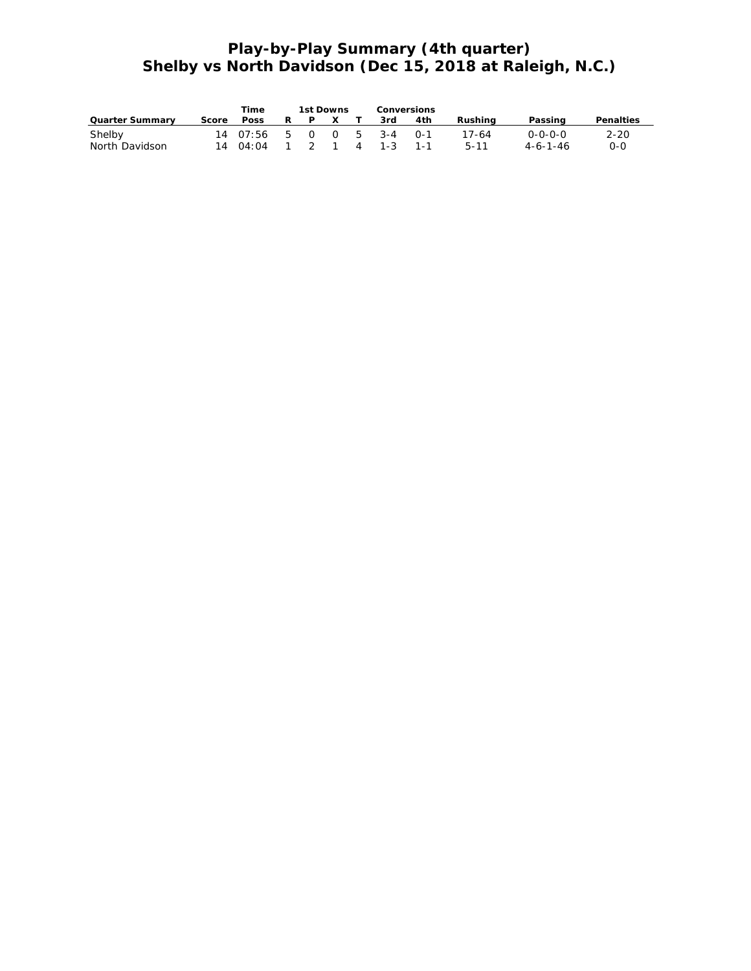## **Play-by-Play Summary (4th quarter) Shelby vs North Davidson (Dec 15, 2018 at Raleigh, N.C.)**

|                        |       | Time                               |    | <b>1st Downs</b> |  | Conversions |     |      |          |                  |           |
|------------------------|-------|------------------------------------|----|------------------|--|-------------|-----|------|----------|------------------|-----------|
| <b>Quarter Summary</b> | Score | <b>Poss</b>                        | R. | PX.              |  |             | 3rd | 4th  | Rushina  | Passing          | Penalties |
| Shelby                 |       | 14 07:56 5 0 0 5 3-4               |    |                  |  |             |     | ∩-1  | 17-64    | 0-0-0-0          | $2 - 20$  |
| North Davidson         |       | $14 \t04:04 \t1 \t2 \t1 \t4 \t1-3$ |    |                  |  |             |     | -1-1 | $5 - 11$ | $4 - 6 - 1 - 46$ | $O-O$     |